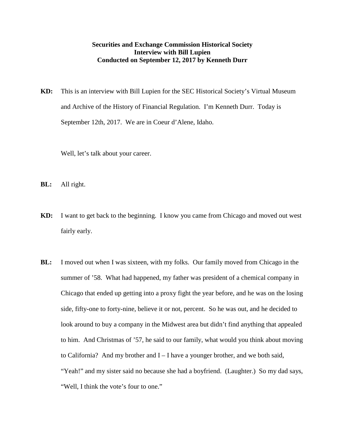## **Securities and Exchange Commission Historical Society Interview with Bill Lupien Conducted on September 12, 2017 by Kenneth Durr**

**KD:** This is an interview with Bill Lupien for the SEC Historical Society's Virtual Museum and Archive of the History of Financial Regulation. I'm Kenneth Durr. Today is September 12th, 2017. We are in Coeur d'Alene, Idaho.

Well, let's talk about your career.

- **BL:** All right.
- **KD:** I want to get back to the beginning. I know you came from Chicago and moved out west fairly early.
- **BL:** I moved out when I was sixteen, with my folks. Our family moved from Chicago in the summer of '58. What had happened, my father was president of a chemical company in Chicago that ended up getting into a proxy fight the year before, and he was on the losing side, fifty-one to forty-nine, believe it or not, percent. So he was out, and he decided to look around to buy a company in the Midwest area but didn't find anything that appealed to him. And Christmas of '57, he said to our family, what would you think about moving to California? And my brother and I – I have a younger brother, and we both said, "Yeah!" and my sister said no because she had a boyfriend. (Laughter.) So my dad says, "Well, I think the vote's four to one."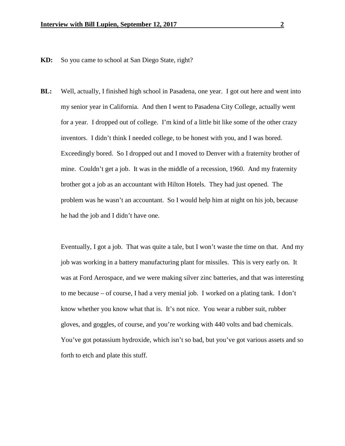- **KD:** So you came to school at San Diego State, right?
- **BL:** Well, actually, I finished high school in Pasadena, one year. I got out here and went into my senior year in California. And then I went to Pasadena City College, actually went for a year. I dropped out of college. I'm kind of a little bit like some of the other crazy inventors. I didn't think I needed college, to be honest with you, and I was bored. Exceedingly bored. So I dropped out and I moved to Denver with a fraternity brother of mine. Couldn't get a job. It was in the middle of a recession, 1960. And my fraternity brother got a job as an accountant with Hilton Hotels. They had just opened. The problem was he wasn't an accountant. So I would help him at night on his job, because he had the job and I didn't have one.

Eventually, I got a job. That was quite a tale, but I won't waste the time on that. And my job was working in a battery manufacturing plant for missiles. This is very early on. It was at Ford Aerospace, and we were making silver zinc batteries, and that was interesting to me because – of course, I had a very menial job. I worked on a plating tank. I don't know whether you know what that is. It's not nice. You wear a rubber suit, rubber gloves, and goggles, of course, and you're working with 440 volts and bad chemicals. You've got potassium hydroxide, which isn't so bad, but you've got various assets and so forth to etch and plate this stuff.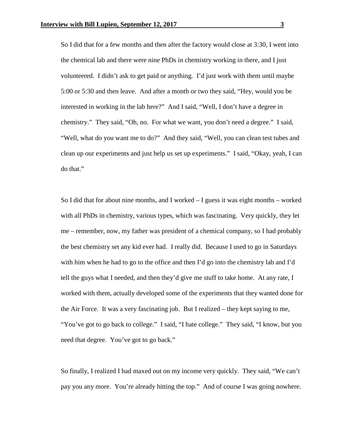So I did that for a few months and then after the factory would close at 3:30, I went into the chemical lab and there were nine PhDs in chemistry working in there, and I just volunteered. I didn't ask to get paid or anything. I'd just work with them until maybe 5:00 or 5:30 and then leave. And after a month or two they said, "Hey, would you be interested in working in the lab here?" And I said, "Well, I don't have a degree in chemistry." They said, "Oh, no. For what we want, you don't need a degree." I said, "Well, what do you want me to do?" And they said, "Well, you can clean test tubes and clean up our experiments and just help us set up experiments." I said, "Okay, yeah, I can do that."

So I did that for about nine months, and I worked – I guess it was eight months – worked with all PhDs in chemistry, various types, which was fascinating. Very quickly, they let me – remember, now, my father was president of a chemical company, so I had probably the best chemistry set any kid ever had. I really did. Because I used to go in Saturdays with him when he had to go to the office and then I'd go into the chemistry lab and I'd tell the guys what I needed, and then they'd give me stuff to take home. At any rate, I worked with them, actually developed some of the experiments that they wanted done for the Air Force. It was a very fascinating job. But I realized – they kept saying to me, "You've got to go back to college." I said, "I hate college." They said, "I know, but you need that degree. You've got to go back."

So finally, I realized I had maxed out on my income very quickly. They said, "We can't pay you any more. You're already hitting the top." And of course I was going nowhere.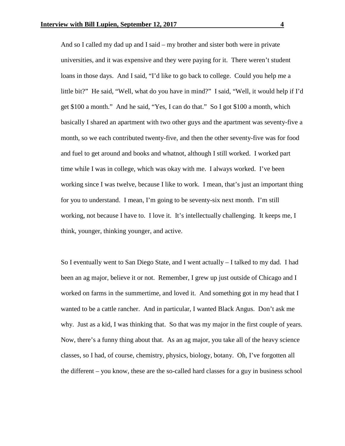And so I called my dad up and I said – my brother and sister both were in private universities, and it was expensive and they were paying for it. There weren't student loans in those days. And I said, "I'd like to go back to college. Could you help me a little bit?" He said, "Well, what do you have in mind?" I said, "Well, it would help if I'd get \$100 a month." And he said, "Yes, I can do that." So I got \$100 a month, which basically I shared an apartment with two other guys and the apartment was seventy-five a month, so we each contributed twenty-five, and then the other seventy-five was for food and fuel to get around and books and whatnot, although I still worked. I worked part time while I was in college, which was okay with me. I always worked. I've been working since I was twelve, because I like to work. I mean, that's just an important thing for you to understand. I mean, I'm going to be seventy-six next month. I'm still working, not because I have to. I love it. It's intellectually challenging. It keeps me, I think, younger, thinking younger, and active.

So I eventually went to San Diego State, and I went actually – I talked to my dad. I had been an ag major, believe it or not. Remember, I grew up just outside of Chicago and I worked on farms in the summertime, and loved it. And something got in my head that I wanted to be a cattle rancher. And in particular, I wanted Black Angus. Don't ask me why. Just as a kid, I was thinking that. So that was my major in the first couple of years. Now, there's a funny thing about that. As an ag major, you take all of the heavy science classes, so I had, of course, chemistry, physics, biology, botany. Oh, I've forgotten all the different – you know, these are the so-called hard classes for a guy in business school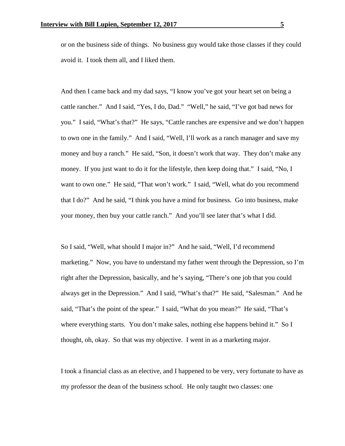or on the business side of things. No business guy would take those classes if they could avoid it. I took them all, and I liked them.

And then I came back and my dad says, "I know you've got your heart set on being a cattle rancher." And I said, "Yes, I do, Dad." "Well," he said, "I've got bad news for you." I said, "What's that?" He says, "Cattle ranches are expensive and we don't happen to own one in the family." And I said, "Well, I'll work as a ranch manager and save my money and buy a ranch." He said, "Son, it doesn't work that way. They don't make any money. If you just want to do it for the lifestyle, then keep doing that." I said, "No, I want to own one." He said, "That won't work." I said, "Well, what do you recommend that I do?" And he said, "I think you have a mind for business. Go into business, make your money, then buy your cattle ranch." And you'll see later that's what I did.

So I said, "Well, what should I major in?" And he said, "Well, I'd recommend marketing." Now, you have to understand my father went through the Depression, so I'm right after the Depression, basically, and he's saying, "There's one job that you could always get in the Depression." And I said, "What's that?" He said, "Salesman." And he said, "That's the point of the spear." I said, "What do you mean?" He said, "That's where everything starts. You don't make sales, nothing else happens behind it." So I thought, oh, okay. So that was my objective. I went in as a marketing major.

I took a financial class as an elective, and I happened to be very, very fortunate to have as my professor the dean of the business school. He only taught two classes: one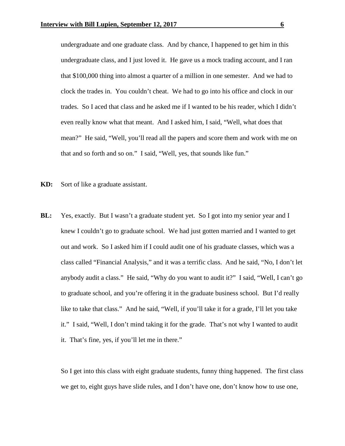undergraduate and one graduate class. And by chance, I happened to get him in this undergraduate class, and I just loved it. He gave us a mock trading account, and I ran that \$100,000 thing into almost a quarter of a million in one semester. And we had to clock the trades in. You couldn't cheat. We had to go into his office and clock in our trades. So I aced that class and he asked me if I wanted to be his reader, which I didn't even really know what that meant. And I asked him, I said, "Well, what does that mean?" He said, "Well, you'll read all the papers and score them and work with me on that and so forth and so on." I said, "Well, yes, that sounds like fun."

- **KD:** Sort of like a graduate assistant.
- **BL:** Yes, exactly. But I wasn't a graduate student yet. So I got into my senior year and I knew I couldn't go to graduate school. We had just gotten married and I wanted to get out and work. So I asked him if I could audit one of his graduate classes, which was a class called "Financial Analysis," and it was a terrific class. And he said, "No, I don't let anybody audit a class." He said, "Why do you want to audit it?" I said, "Well, I can't go to graduate school, and you're offering it in the graduate business school. But I'd really like to take that class." And he said, "Well, if you'll take it for a grade, I'll let you take it." I said, "Well, I don't mind taking it for the grade. That's not why I wanted to audit it. That's fine, yes, if you'll let me in there."

So I get into this class with eight graduate students, funny thing happened. The first class we get to, eight guys have slide rules, and I don't have one, don't know how to use one,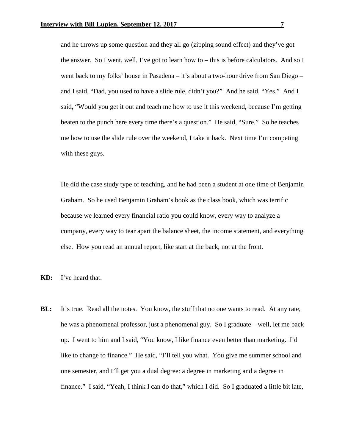and he throws up some question and they all go (zipping sound effect) and they've got the answer. So I went, well, I've got to learn how to – this is before calculators. And so I went back to my folks' house in Pasadena – it's about a two-hour drive from San Diego – and I said, "Dad, you used to have a slide rule, didn't you?" And he said, "Yes." And I said, "Would you get it out and teach me how to use it this weekend, because I'm getting beaten to the punch here every time there's a question." He said, "Sure." So he teaches me how to use the slide rule over the weekend, I take it back. Next time I'm competing with these guys.

He did the case study type of teaching, and he had been a student at one time of Benjamin Graham. So he used Benjamin Graham's book as the class book, which was terrific because we learned every financial ratio you could know, every way to analyze a company, every way to tear apart the balance sheet, the income statement, and everything else. How you read an annual report, like start at the back, not at the front.

**KD:** I've heard that.

**BL:** It's true. Read all the notes. You know, the stuff that no one wants to read. At any rate, he was a phenomenal professor, just a phenomenal guy. So I graduate – well, let me back up. I went to him and I said, "You know, I like finance even better than marketing. I'd like to change to finance." He said, "I'll tell you what. You give me summer school and one semester, and I'll get you a dual degree: a degree in marketing and a degree in finance." I said, "Yeah, I think I can do that," which I did. So I graduated a little bit late,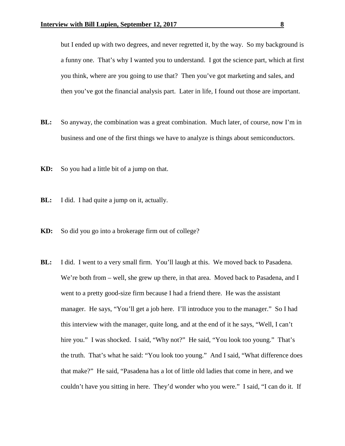but I ended up with two degrees, and never regretted it, by the way. So my background is a funny one. That's why I wanted you to understand. I got the science part, which at first you think, where are you going to use that? Then you've got marketing and sales, and then you've got the financial analysis part. Later in life, I found out those are important.

- **BL:** So anyway, the combination was a great combination. Much later, of course, now I'm in business and one of the first things we have to analyze is things about semiconductors.
- **KD:** So you had a little bit of a jump on that.
- **BL:** I did. I had quite a jump on it, actually.
- **KD:** So did you go into a brokerage firm out of college?
- **BL:** I did. I went to a very small firm. You'll laugh at this. We moved back to Pasadena. We're both from – well, she grew up there, in that area. Moved back to Pasadena, and I went to a pretty good-size firm because I had a friend there. He was the assistant manager. He says, "You'll get a job here. I'll introduce you to the manager." So I had this interview with the manager, quite long, and at the end of it he says, "Well, I can't hire you." I was shocked. I said, "Why not?" He said, "You look too young." That's the truth. That's what he said: "You look too young." And I said, "What difference does that make?" He said, "Pasadena has a lot of little old ladies that come in here, and we couldn't have you sitting in here. They'd wonder who you were." I said, "I can do it. If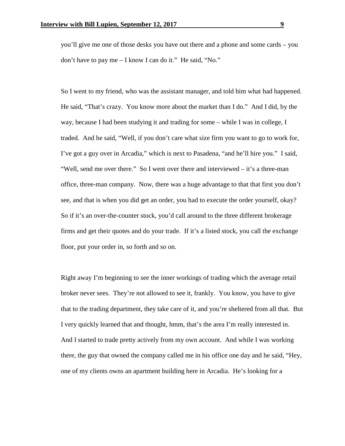you'll give me one of those desks you have out there and a phone and some cards – you don't have to pay me – I know I can do it." He said, "No."

So I went to my friend, who was the assistant manager, and told him what had happened. He said, "That's crazy. You know more about the market than I do." And I did, by the way, because I had been studying it and trading for some – while I was in college, I traded. And he said, "Well, if you don't care what size firm you want to go to work for, I've got a guy over in Arcadia," which is next to Pasadena, "and he'll hire you." I said, "Well, send me over there." So I went over there and interviewed – it's a three-man office, three-man company. Now, there was a huge advantage to that that first you don't see, and that is when you did get an order, you had to execute the order yourself, okay? So if it's an over-the-counter stock, you'd call around to the three different brokerage firms and get their quotes and do your trade. If it's a listed stock, you call the exchange floor, put your order in, so forth and so on.

Right away I'm beginning to see the inner workings of trading which the average retail broker never sees. They're not allowed to see it, frankly. You know, you have to give that to the trading department, they take care of it, and you're sheltered from all that. But I very quickly learned that and thought, hmm, that's the area I'm really interested in. And I started to trade pretty actively from my own account. And while I was working there, the guy that owned the company called me in his office one day and he said, "Hey, one of my clients owns an apartment building here in Arcadia. He's looking for a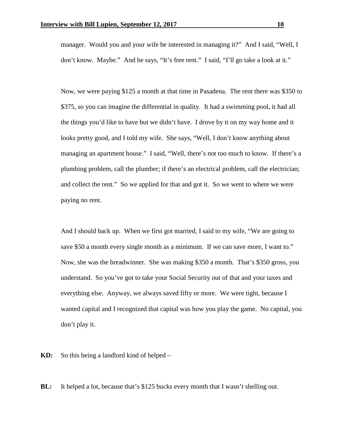manager. Would you and your wife be interested in managing it?" And I said, "Well, I don't know. Maybe." And he says, "It's free rent." I said, "I'll go take a look at it."

Now, we were paying \$125 a month at that time in Pasadena. The rent there was \$350 to \$375, so you can imagine the differential in quality. It had a swimming pool, it had all the things you'd like to have but we didn't have. I drove by it on my way home and it looks pretty good, and I told my wife. She says, "Well, I don't know anything about managing an apartment house." I said, "Well, there's not too much to know. If there's a plumbing problem, call the plumber; if there's an electrical problem, call the electrician; and collect the rent." So we applied for that and got it. So we went to where we were paying no rent.

And I should back up. When we first got married, I said to my wife, "We are going to save \$50 a month every single month as a minimum. If we can save more, I want to." Now, she was the breadwinner. She was making \$350 a month. That's \$350 gross, you understand. So you've got to take your Social Security out of that and your taxes and everything else. Anyway, we always saved fifty or more. We were tight, because I wanted capital and I recognized that capital was how you play the game. No capital, you don't play it.

**KD:** So this being a landlord kind of helped –

**BL:** It helped a lot, because that's \$125 bucks every month that I wasn't shelling out.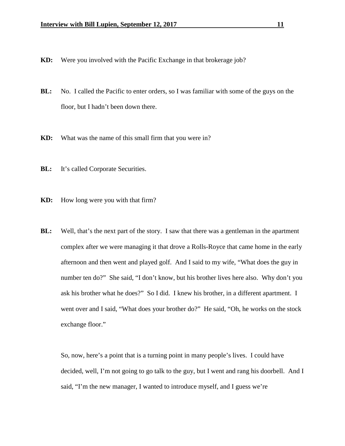- **KD:** Were you involved with the Pacific Exchange in that brokerage job?
- **BL:** No. I called the Pacific to enter orders, so I was familiar with some of the guys on the floor, but I hadn't been down there.
- **KD:** What was the name of this small firm that you were in?
- **BL:** It's called Corporate Securities.
- **KD:** How long were you with that firm?
- **BL:** Well, that's the next part of the story. I saw that there was a gentleman in the apartment complex after we were managing it that drove a Rolls-Royce that came home in the early afternoon and then went and played golf. And I said to my wife, "What does the guy in number ten do?" She said, "I don't know, but his brother lives here also. Why don't you ask his brother what he does?" So I did. I knew his brother, in a different apartment. I went over and I said, "What does your brother do?" He said, "Oh, he works on the stock exchange floor."

So, now, here's a point that is a turning point in many people's lives. I could have decided, well, I'm not going to go talk to the guy, but I went and rang his doorbell. And I said, "I'm the new manager, I wanted to introduce myself, and I guess we're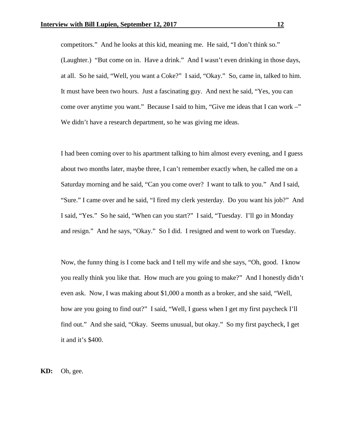competitors." And he looks at this kid, meaning me. He said, "I don't think so." (Laughter.) "But come on in. Have a drink." And I wasn't even drinking in those days, at all. So he said, "Well, you want a Coke?" I said, "Okay." So, came in, talked to him. It must have been two hours. Just a fascinating guy. And next he said, "Yes, you can come over anytime you want." Because I said to him, "Give me ideas that I can work –" We didn't have a research department, so he was giving me ideas.

I had been coming over to his apartment talking to him almost every evening, and I guess about two months later, maybe three, I can't remember exactly when, he called me on a Saturday morning and he said, "Can you come over? I want to talk to you." And I said, "Sure." I came over and he said, "I fired my clerk yesterday. Do you want his job?" And I said, "Yes." So he said, "When can you start?" I said, "Tuesday. I'll go in Monday and resign." And he says, "Okay." So I did. I resigned and went to work on Tuesday.

Now, the funny thing is I come back and I tell my wife and she says, "Oh, good. I know you really think you like that. How much are you going to make?" And I honestly didn't even ask. Now, I was making about \$1,000 a month as a broker, and she said, "Well, how are you going to find out?" I said, "Well, I guess when I get my first paycheck I'll find out." And she said, "Okay. Seems unusual, but okay." So my first paycheck, I get it and it's \$400.

**KD:** Oh, gee.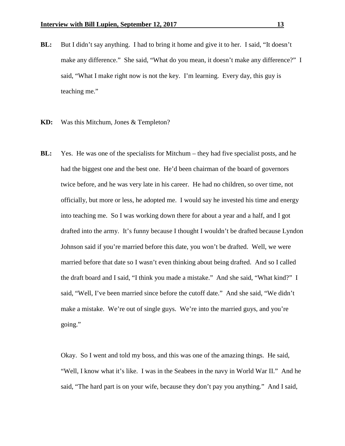- **BL:** But I didn't say anything. I had to bring it home and give it to her. I said, "It doesn't make any difference." She said, "What do you mean, it doesn't make any difference?" I said, "What I make right now is not the key. I'm learning. Every day, this guy is teaching me."
- **KD:** Was this Mitchum, Jones & Templeton?
- **BL:** Yes. He was one of the specialists for Mitchum they had five specialist posts, and he had the biggest one and the best one. He'd been chairman of the board of governors twice before, and he was very late in his career. He had no children, so over time, not officially, but more or less, he adopted me. I would say he invested his time and energy into teaching me. So I was working down there for about a year and a half, and I got drafted into the army. It's funny because I thought I wouldn't be drafted because Lyndon Johnson said if you're married before this date, you won't be drafted. Well, we were married before that date so I wasn't even thinking about being drafted. And so I called the draft board and I said, "I think you made a mistake." And she said, "What kind?" I said, "Well, I've been married since before the cutoff date." And she said, "We didn't make a mistake. We're out of single guys. We're into the married guys, and you're going."

Okay. So I went and told my boss, and this was one of the amazing things. He said, "Well, I know what it's like. I was in the Seabees in the navy in World War II." And he said, "The hard part is on your wife, because they don't pay you anything." And I said,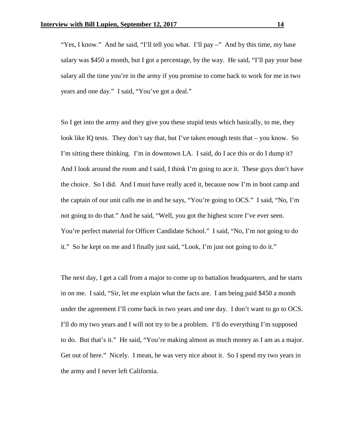"Yes, I know." And he said, "I'll tell you what. I'll pay –" And by this time, my base salary was \$450 a month, but I got a percentage, by the way. He said, "I'll pay your base salary all the time you're in the army if you promise to come back to work for me in two years and one day." I said, "You've got a deal."

So I get into the army and they give you these stupid tests which basically, to me, they look like IQ tests. They don't say that, but I've taken enough tests that – you know. So I'm sitting there thinking. I'm in downtown LA. I said, do I ace this or do I dump it? And I look around the room and I said, I think I'm going to ace it. These guys don't have the choice. So I did. And I must have really aced it, because now I'm in boot camp and the captain of our unit calls me in and he says, "You're going to OCS." I said, "No, I'm not going to do that." And he said, "Well, you got the highest score I've ever seen. You're perfect material for Officer Candidate School." I said, "No, I'm not going to do it." So he kept on me and I finally just said, "Look, I'm just not going to do it."

The next day, I get a call from a major to come up to battalion headquarters, and he starts in on me. I said, "Sir, let me explain what the facts are. I am being paid \$450 a month under the agreement I'll come back in two years and one day. I don't want to go to OCS. I'll do my two years and I will not try to be a problem. I'll do everything I'm supposed to do. But that's it." He said, "You're making almost as much money as I am as a major. Get out of here." Nicely. I mean, he was very nice about it. So I spend my two years in the army and I never left California.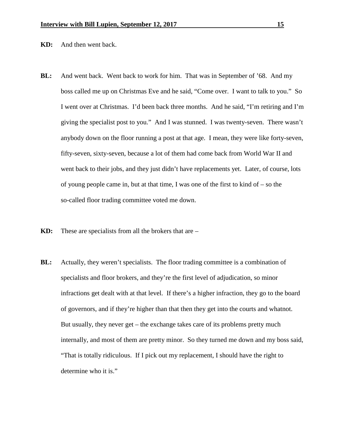**KD:** And then went back.

- **BL:** And went back. Went back to work for him. That was in September of '68. And my boss called me up on Christmas Eve and he said, "Come over. I want to talk to you." So I went over at Christmas. I'd been back three months. And he said, "I'm retiring and I'm giving the specialist post to you." And I was stunned. I was twenty-seven. There wasn't anybody down on the floor running a post at that age. I mean, they were like forty-seven, fifty-seven, sixty-seven, because a lot of them had come back from World War II and went back to their jobs, and they just didn't have replacements yet. Later, of course, lots of young people came in, but at that time, I was one of the first to kind of  $-$  so the so-called floor trading committee voted me down.
- **KD:** These are specialists from all the brokers that are –
- **BL:** Actually, they weren't specialists. The floor trading committee is a combination of specialists and floor brokers, and they're the first level of adjudication, so minor infractions get dealt with at that level. If there's a higher infraction, they go to the board of governors, and if they're higher than that then they get into the courts and whatnot. But usually, they never get – the exchange takes care of its problems pretty much internally, and most of them are pretty minor. So they turned me down and my boss said, "That is totally ridiculous. If I pick out my replacement, I should have the right to determine who it is."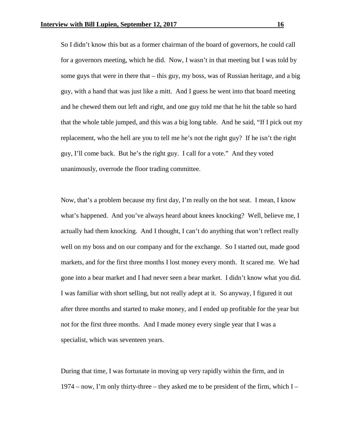So I didn't know this but as a former chairman of the board of governors, he could call for a governors meeting, which he did. Now, I wasn't in that meeting but I was told by some guys that were in there that – this guy, my boss, was of Russian heritage, and a big guy, with a hand that was just like a mitt. And I guess he went into that board meeting and he chewed them out left and right, and one guy told me that he hit the table so hard that the whole table jumped, and this was a big long table. And he said, "If I pick out my replacement, who the hell are you to tell me he's not the right guy? If he isn't the right guy, I'll come back. But he's the right guy. I call for a vote." And they voted unanimously, overrode the floor trading committee.

Now, that's a problem because my first day, I'm really on the hot seat. I mean, I know what's happened. And you've always heard about knees knocking? Well, believe me, I actually had them knocking. And I thought, I can't do anything that won't reflect really well on my boss and on our company and for the exchange. So I started out, made good markets, and for the first three months I lost money every month. It scared me. We had gone into a bear market and I had never seen a bear market. I didn't know what you did. I was familiar with short selling, but not really adept at it. So anyway, I figured it out after three months and started to make money, and I ended up profitable for the year but not for the first three months. And I made money every single year that I was a specialist, which was seventeen years.

During that time, I was fortunate in moving up very rapidly within the firm, and in  $1974 -$  now, I'm only thirty-three – they asked me to be president of the firm, which I –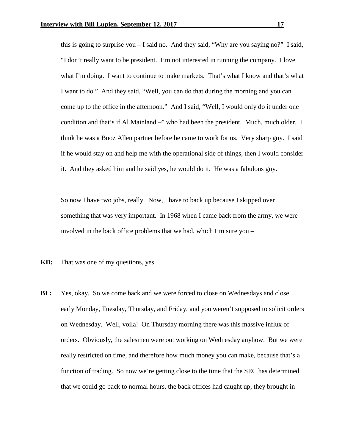this is going to surprise you – I said no. And they said, "Why are you saying no?" I said, "I don't really want to be president. I'm not interested in running the company. I love what I'm doing. I want to continue to make markets. That's what I know and that's what I want to do." And they said, "Well, you can do that during the morning and you can come up to the office in the afternoon." And I said, "Well, I would only do it under one condition and that's if Al Mainland –" who had been the president. Much, much older. I think he was a Booz Allen partner before he came to work for us. Very sharp guy. I said if he would stay on and help me with the operational side of things, then I would consider it. And they asked him and he said yes, he would do it. He was a fabulous guy.

So now I have two jobs, really. Now, I have to back up because I skipped over something that was very important. In 1968 when I came back from the army, we were involved in the back office problems that we had, which I'm sure you –

- **KD:** That was one of my questions, yes.
- **BL:** Yes, okay. So we come back and we were forced to close on Wednesdays and close early Monday, Tuesday, Thursday, and Friday, and you weren't supposed to solicit orders on Wednesday. Well, voila! On Thursday morning there was this massive influx of orders. Obviously, the salesmen were out working on Wednesday anyhow. But we were really restricted on time, and therefore how much money you can make, because that's a function of trading. So now we're getting close to the time that the SEC has determined that we could go back to normal hours, the back offices had caught up, they brought in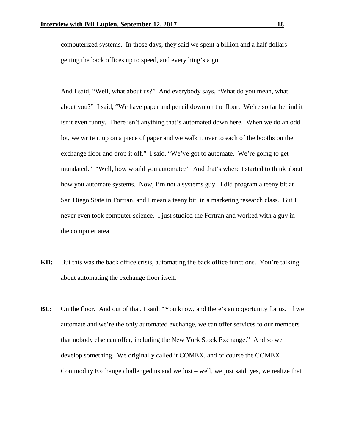computerized systems. In those days, they said we spent a billion and a half dollars getting the back offices up to speed, and everything's a go.

And I said, "Well, what about us?" And everybody says, "What do you mean, what about you?" I said, "We have paper and pencil down on the floor. We're so far behind it isn't even funny. There isn't anything that's automated down here. When we do an odd lot, we write it up on a piece of paper and we walk it over to each of the booths on the exchange floor and drop it off." I said, "We've got to automate. We're going to get inundated." "Well, how would you automate?" And that's where I started to think about how you automate systems. Now, I'm not a systems guy. I did program a teeny bit at San Diego State in Fortran, and I mean a teeny bit, in a marketing research class. But I never even took computer science. I just studied the Fortran and worked with a guy in the computer area.

- **KD:** But this was the back office crisis, automating the back office functions. You're talking about automating the exchange floor itself.
- **BL:** On the floor. And out of that, I said, "You know, and there's an opportunity for us. If we automate and we're the only automated exchange, we can offer services to our members that nobody else can offer, including the New York Stock Exchange." And so we develop something. We originally called it COMEX, and of course the COMEX Commodity Exchange challenged us and we lost – well, we just said, yes, we realize that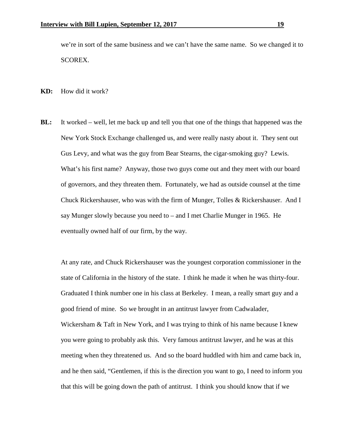we're in sort of the same business and we can't have the same name. So we changed it to SCOREX.

**KD:** How did it work?

**BL:** It worked – well, let me back up and tell you that one of the things that happened was the New York Stock Exchange challenged us, and were really nasty about it. They sent out Gus Levy, and what was the guy from Bear Stearns, the cigar-smoking guy? Lewis. What's his first name? Anyway, those two guys come out and they meet with our board of governors, and they threaten them. Fortunately, we had as outside counsel at the time Chuck Rickershauser, who was with the firm of Munger, Tolles & Rickershauser. And I say Munger slowly because you need to – and I met Charlie Munger in 1965. He eventually owned half of our firm, by the way.

At any rate, and Chuck Rickershauser was the youngest corporation commissioner in the state of California in the history of the state. I think he made it when he was thirty-four. Graduated I think number one in his class at Berkeley. I mean, a really smart guy and a good friend of mine. So we brought in an antitrust lawyer from Cadwalader, Wickersham & Taft in New York, and I was trying to think of his name because I knew you were going to probably ask this. Very famous antitrust lawyer, and he was at this meeting when they threatened us. And so the board huddled with him and came back in, and he then said, "Gentlemen, if this is the direction you want to go, I need to inform you that this will be going down the path of antitrust. I think you should know that if we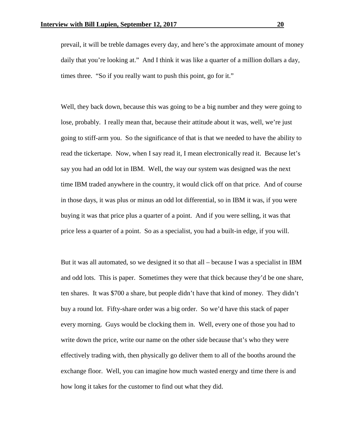prevail, it will be treble damages every day, and here's the approximate amount of money daily that you're looking at." And I think it was like a quarter of a million dollars a day, times three. "So if you really want to push this point, go for it."

Well, they back down, because this was going to be a big number and they were going to lose, probably. I really mean that, because their attitude about it was, well, we're just going to stiff-arm you. So the significance of that is that we needed to have the ability to read the tickertape. Now, when I say read it, I mean electronically read it. Because let's say you had an odd lot in IBM. Well, the way our system was designed was the next time IBM traded anywhere in the country, it would click off on that price. And of course in those days, it was plus or minus an odd lot differential, so in IBM it was, if you were buying it was that price plus a quarter of a point. And if you were selling, it was that price less a quarter of a point. So as a specialist, you had a built-in edge, if you will.

But it was all automated, so we designed it so that all – because I was a specialist in IBM and odd lots. This is paper. Sometimes they were that thick because they'd be one share, ten shares. It was \$700 a share, but people didn't have that kind of money. They didn't buy a round lot. Fifty-share order was a big order. So we'd have this stack of paper every morning. Guys would be clocking them in. Well, every one of those you had to write down the price, write our name on the other side because that's who they were effectively trading with, then physically go deliver them to all of the booths around the exchange floor. Well, you can imagine how much wasted energy and time there is and how long it takes for the customer to find out what they did.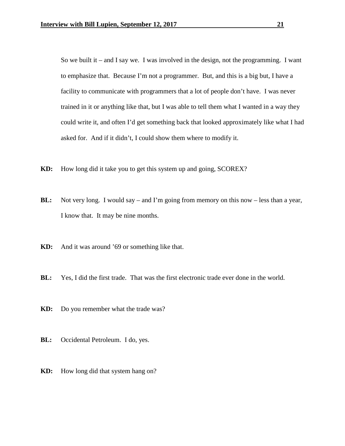So we built it – and I say we. I was involved in the design, not the programming. I want to emphasize that. Because I'm not a programmer. But, and this is a big but, I have a facility to communicate with programmers that a lot of people don't have. I was never trained in it or anything like that, but I was able to tell them what I wanted in a way they could write it, and often I'd get something back that looked approximately like what I had asked for. And if it didn't, I could show them where to modify it.

- **KD:** How long did it take you to get this system up and going, SCOREX?
- **BL:** Not very long. I would say and I'm going from memory on this now less than a year, I know that. It may be nine months.
- **KD:** And it was around '69 or something like that.
- **BL:** Yes, I did the first trade. That was the first electronic trade ever done in the world.
- **KD:** Do you remember what the trade was?
- **BL:** Occidental Petroleum. I do, yes.
- **KD:** How long did that system hang on?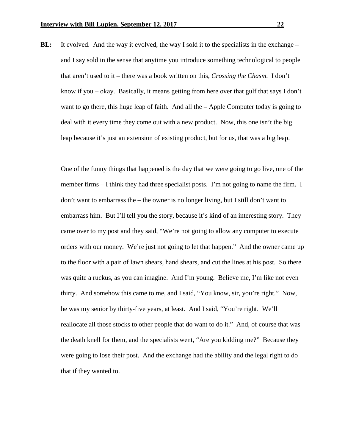**BL:** It evolved. And the way it evolved, the way I sold it to the specialists in the exchange – and I say sold in the sense that anytime you introduce something technological to people that aren't used to it – there was a book written on this, *Crossing the Chasm*. I don't know if you – okay. Basically, it means getting from here over that gulf that says I don't want to go there, this huge leap of faith. And all the – Apple Computer today is going to deal with it every time they come out with a new product. Now, this one isn't the big leap because it's just an extension of existing product, but for us, that was a big leap.

One of the funny things that happened is the day that we were going to go live, one of the member firms – I think they had three specialist posts. I'm not going to name the firm. I don't want to embarrass the – the owner is no longer living, but I still don't want to embarrass him. But I'll tell you the story, because it's kind of an interesting story. They came over to my post and they said, "We're not going to allow any computer to execute orders with our money. We're just not going to let that happen." And the owner came up to the floor with a pair of lawn shears, hand shears, and cut the lines at his post. So there was quite a ruckus, as you can imagine. And I'm young. Believe me, I'm like not even thirty. And somehow this came to me, and I said, "You know, sir, you're right." Now, he was my senior by thirty-five years, at least. And I said, "You're right. We'll reallocate all those stocks to other people that do want to do it." And, of course that was the death knell for them, and the specialists went, "Are you kidding me?" Because they were going to lose their post. And the exchange had the ability and the legal right to do that if they wanted to.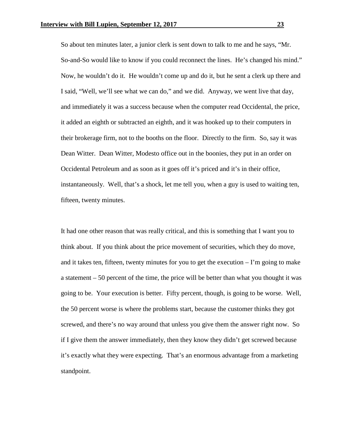So about ten minutes later, a junior clerk is sent down to talk to me and he says, "Mr. So-and-So would like to know if you could reconnect the lines. He's changed his mind." Now, he wouldn't do it. He wouldn't come up and do it, but he sent a clerk up there and I said, "Well, we'll see what we can do," and we did. Anyway, we went live that day, and immediately it was a success because when the computer read Occidental, the price, it added an eighth or subtracted an eighth, and it was hooked up to their computers in their brokerage firm, not to the booths on the floor. Directly to the firm. So, say it was Dean Witter. Dean Witter, Modesto office out in the boonies, they put in an order on Occidental Petroleum and as soon as it goes off it's priced and it's in their office, instantaneously. Well, that's a shock, let me tell you, when a guy is used to waiting ten, fifteen, twenty minutes.

It had one other reason that was really critical, and this is something that I want you to think about. If you think about the price movement of securities, which they do move, and it takes ten, fifteen, twenty minutes for you to get the execution  $- \Gamma$  m going to make a statement – 50 percent of the time, the price will be better than what you thought it was going to be. Your execution is better. Fifty percent, though, is going to be worse. Well, the 50 percent worse is where the problems start, because the customer thinks they got screwed, and there's no way around that unless you give them the answer right now. So if I give them the answer immediately, then they know they didn't get screwed because it's exactly what they were expecting. That's an enormous advantage from a marketing standpoint.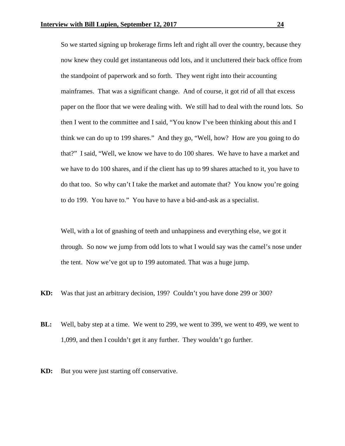So we started signing up brokerage firms left and right all over the country, because they now knew they could get instantaneous odd lots, and it uncluttered their back office from the standpoint of paperwork and so forth. They went right into their accounting mainframes. That was a significant change. And of course, it got rid of all that excess paper on the floor that we were dealing with. We still had to deal with the round lots. So then I went to the committee and I said, "You know I've been thinking about this and I think we can do up to 199 shares." And they go, "Well, how? How are you going to do that?" I said, "Well, we know we have to do 100 shares. We have to have a market and we have to do 100 shares, and if the client has up to 99 shares attached to it, you have to do that too. So why can't I take the market and automate that? You know you're going to do 199. You have to." You have to have a bid-and-ask as a specialist.

Well, with a lot of gnashing of teeth and unhappiness and everything else, we got it through. So now we jump from odd lots to what I would say was the camel's nose under the tent. Now we've got up to 199 automated. That was a huge jump.

- **KD:** Was that just an arbitrary decision, 199? Couldn't you have done 299 or 300?
- **BL:** Well, baby step at a time. We went to 299, we went to 399, we went to 499, we went to 1,099, and then I couldn't get it any further. They wouldn't go further.
- **KD:** But you were just starting off conservative.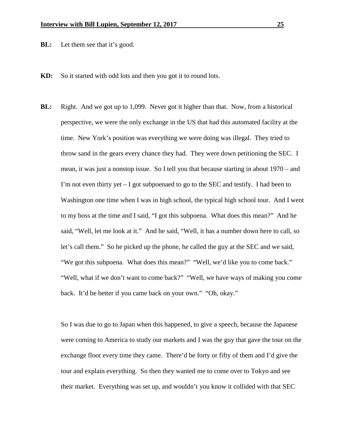**BL:** Let them see that it's good.

- **KD:** So it started with odd lots and then you got it to round lots.
- **BL:** Right. And we got up to 1,099. Never got it higher than that. Now, from a historical perspective, we were the only exchange in the US that had this automated facility at the time. New York's position was everything we were doing was illegal. They tried to throw sand in the gears every chance they had. They were down petitioning the SEC. I mean, it was just a nonstop issue. So I tell you that because starting in about 1970 – and I'm not even thirty yet  $-$  I got subpoenaed to go to the SEC and testify. I had been to Washington one time when I was in high school, the typical high school tour. And I went to my boss at the time and I said, "I got this subpoena. What does this mean?" And he said, "Well, let me look at it." And he said, "Well, it has a number down here to call, so let's call them." So he picked up the phone, he called the guy at the SEC and we said, "We got this subpoena. What does this mean?" "Well, we'd like you to come back." "Well, what if we don't want to come back?" "Well, we have ways of making you come back. It'd be better if you came back on your own." "Oh, okay."

So I was due to go to Japan when this happened, to give a speech, because the Japanese were coming to America to study our markets and I was the guy that gave the tour on the exchange floor every time they came. There'd be forty or fifty of them and I'd give the tour and explain everything. So then they wanted me to come over to Tokyo and see their market. Everything was set up, and wouldn't you know it collided with that SEC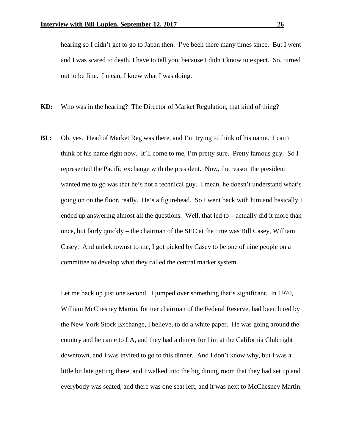hearing so I didn't get to go to Japan then. I've been there many times since. But I went and I was scared to death, I have to tell you, because I didn't know to expect. So, turned out to be fine. I mean, I knew what I was doing.

**KD:** Who was in the hearing? The Director of Market Regulation, that kind of thing?

**BL:** Oh, yes. Head of Market Reg was there, and I'm trying to think of his name. I can't think of his name right now. It'll come to me, I'm pretty sure. Pretty famous guy. So I represented the Pacific exchange with the president. Now, the reason the president wanted me to go was that he's not a technical guy. I mean, he doesn't understand what's going on on the floor, really. He's a figurehead. So I went back with him and basically I ended up answering almost all the questions. Well, that led to – actually did it more than once, but fairly quickly – the chairman of the SEC at the time was Bill Casey, William Casey. And unbeknownst to me, I got picked by Casey to be one of nine people on a committee to develop what they called the central market system.

Let me back up just one second. I jumped over something that's significant. In 1970, William McChesney Martin, former chairman of the Federal Reserve, had been hired by the New York Stock Exchange, I believe, to do a white paper. He was going around the country and he came to LA, and they had a dinner for him at the California Club right downtown, and I was invited to go to this dinner. And I don't know why, but I was a little bit late getting there, and I walked into the big dining room that they had set up and everybody was seated, and there was one seat left, and it was next to McChesney Martin.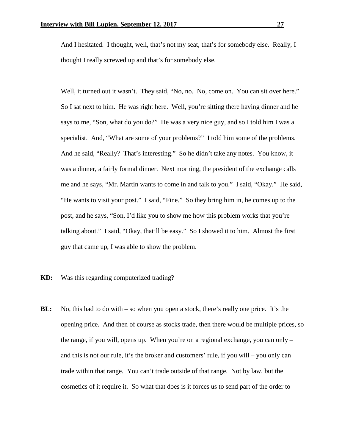And I hesitated. I thought, well, that's not my seat, that's for somebody else. Really, I thought I really screwed up and that's for somebody else.

Well, it turned out it wasn't. They said, "No, no. No, come on. You can sit over here." So I sat next to him. He was right here. Well, you're sitting there having dinner and he says to me, "Son, what do you do?" He was a very nice guy, and so I told him I was a specialist. And, "What are some of your problems?" I told him some of the problems. And he said, "Really? That's interesting." So he didn't take any notes. You know, it was a dinner, a fairly formal dinner. Next morning, the president of the exchange calls me and he says, "Mr. Martin wants to come in and talk to you." I said, "Okay." He said, "He wants to visit your post." I said, "Fine." So they bring him in, he comes up to the post, and he says, "Son, I'd like you to show me how this problem works that you're talking about." I said, "Okay, that'll be easy." So I showed it to him. Almost the first guy that came up, I was able to show the problem.

## **KD:** Was this regarding computerized trading?

**BL:** No, this had to do with – so when you open a stock, there's really one price. It's the opening price. And then of course as stocks trade, then there would be multiple prices, so the range, if you will, opens up. When you're on a regional exchange, you can only – and this is not our rule, it's the broker and customers' rule, if you will – you only can trade within that range. You can't trade outside of that range. Not by law, but the cosmetics of it require it. So what that does is it forces us to send part of the order to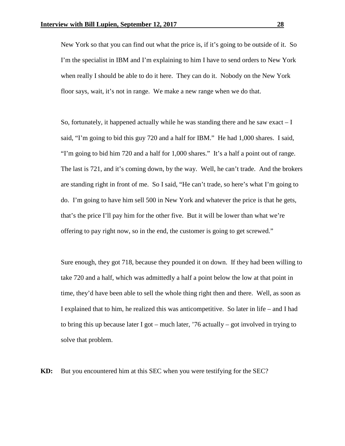New York so that you can find out what the price is, if it's going to be outside of it. So I'm the specialist in IBM and I'm explaining to him I have to send orders to New York when really I should be able to do it here. They can do it. Nobody on the New York floor says, wait, it's not in range. We make a new range when we do that.

So, fortunately, it happened actually while he was standing there and he saw exact  $-I$ said, "I'm going to bid this guy 720 and a half for IBM." He had 1,000 shares. I said, "I'm going to bid him 720 and a half for 1,000 shares." It's a half a point out of range. The last is 721, and it's coming down, by the way. Well, he can't trade. And the brokers are standing right in front of me. So I said, "He can't trade, so here's what I'm going to do. I'm going to have him sell 500 in New York and whatever the price is that he gets, that's the price I'll pay him for the other five. But it will be lower than what we're offering to pay right now, so in the end, the customer is going to get screwed."

Sure enough, they got 718, because they pounded it on down. If they had been willing to take 720 and a half, which was admittedly a half a point below the low at that point in time, they'd have been able to sell the whole thing right then and there. Well, as soon as I explained that to him, he realized this was anticompetitive. So later in life – and I had to bring this up because later I got – much later,  $\frac{76}{6}$  actually – got involved in trying to solve that problem.

**KD:** But you encountered him at this SEC when you were testifying for the SEC?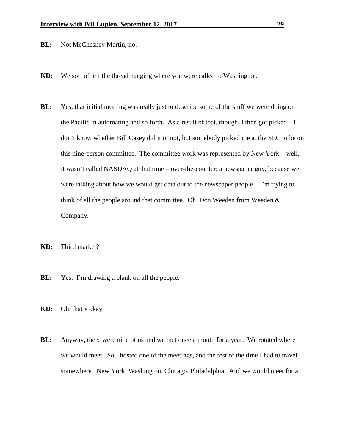- **BL:** Not McChesney Martin, no.
- **KD:** We sort of left the thread hanging where you were called to Washington.
- **BL:** Yes, that initial meeting was really just to describe some of the stuff we were doing on the Pacific in automating and so forth. As a result of that, though, I then got picked  $-I$ don't know whether Bill Casey did it or not, but somebody picked me at the SEC to be on this nine-person committee. The committee work was represented by New York – well, it wasn't called NASDAQ at that time – over-the-counter; a newspaper guy, because we were talking about how we would get data out to the newspaper people – I'm trying to think of all the people around that committee. Oh, Don Weeden from Weeden & Company.
- **KD:** Third market?
- **BL:** Yes. I'm drawing a blank on all the people.
- **KD:** Oh, that's okay.
- **BL:** Anyway, there were nine of us and we met once a month for a year. We rotated where we would meet. So I hosted one of the meetings, and the rest of the time I had to travel somewhere. New York, Washington, Chicago, Philadelphia. And we would meet for a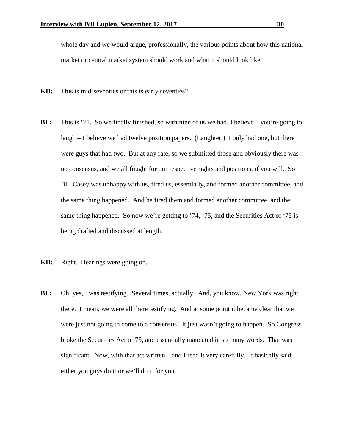whole day and we would argue, professionally, the various points about how this national market or central market system should work and what it should look like.

- **KD:** This is mid-seventies or this is early seventies?
- **BL:** This is '71. So we finally finished, so with nine of us we had, I believe you're going to laugh – I believe we had twelve position papers. (Laughter.) I only had one, but there were guys that had two. But at any rate, so we submitted those and obviously there was no consensus, and we all fought for our respective rights and positions, if you will. So Bill Casey was unhappy with us, fired us, essentially, and formed another committee, and the same thing happened. And he fired them and formed another committee, and the same thing happened. So now we're getting to '74, '75, and the Securities Act of '75 is being drafted and discussed at length.
- **KD:** Right. Hearings were going on.
- **BL:** Oh, yes, I was testifying. Several times, actually. And, you know, New York was right there. I mean, we were all there testifying. And at some point it became clear that we were just not going to come to a consensus. It just wasn't going to happen. So Congress broke the Securities Act of 75, and essentially mandated in so many words. That was significant. Now, with that act written – and I read it very carefully. It basically said either you guys do it or we'll do it for you.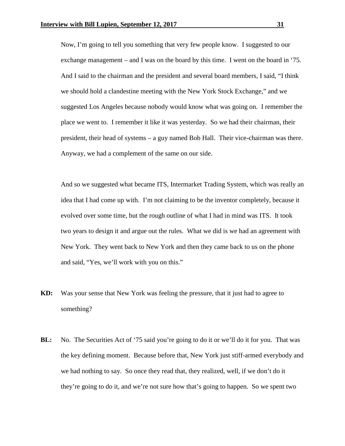Now, I'm going to tell you something that very few people know. I suggested to our exchange management – and I was on the board by this time. I went on the board in '75. And I said to the chairman and the president and several board members, I said, "I think we should hold a clandestine meeting with the New York Stock Exchange," and we suggested Los Angeles because nobody would know what was going on. I remember the place we went to. I remember it like it was yesterday. So we had their chairman, their president, their head of systems – a guy named Bob Hall. Their vice-chairman was there. Anyway, we had a complement of the same on our side.

And so we suggested what became ITS, Intermarket Trading System, which was really an idea that I had come up with. I'm not claiming to be the inventor completely, because it evolved over some time, but the rough outline of what I had in mind was ITS. It took two years to design it and argue out the rules. What we did is we had an agreement with New York. They went back to New York and then they came back to us on the phone and said, "Yes, we'll work with you on this."

- **KD:** Was your sense that New York was feeling the pressure, that it just had to agree to something?
- **BL:** No. The Securities Act of '75 said you're going to do it or we'll do it for you. That was the key defining moment. Because before that, New York just stiff-armed everybody and we had nothing to say. So once they read that, they realized, well, if we don't do it they're going to do it, and we're not sure how that's going to happen. So we spent two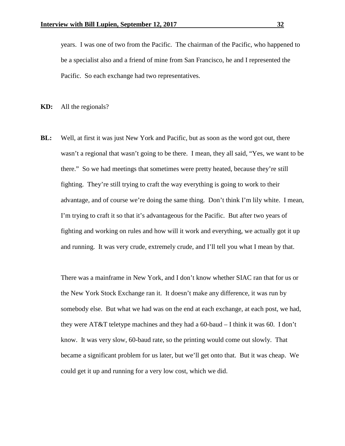years. I was one of two from the Pacific. The chairman of the Pacific, who happened to be a specialist also and a friend of mine from San Francisco, he and I represented the Pacific. So each exchange had two representatives.

**KD:** All the regionals?

**BL:** Well, at first it was just New York and Pacific, but as soon as the word got out, there wasn't a regional that wasn't going to be there. I mean, they all said, "Yes, we want to be there." So we had meetings that sometimes were pretty heated, because they're still fighting. They're still trying to craft the way everything is going to work to their advantage, and of course we're doing the same thing. Don't think I'm lily white. I mean, I'm trying to craft it so that it's advantageous for the Pacific. But after two years of fighting and working on rules and how will it work and everything, we actually got it up and running. It was very crude, extremely crude, and I'll tell you what I mean by that.

There was a mainframe in New York, and I don't know whether SIAC ran that for us or the New York Stock Exchange ran it. It doesn't make any difference, it was run by somebody else. But what we had was on the end at each exchange, at each post, we had, they were AT&T teletype machines and they had a 60-baud – I think it was 60. I don't know. It was very slow, 60-baud rate, so the printing would come out slowly. That became a significant problem for us later, but we'll get onto that. But it was cheap. We could get it up and running for a very low cost, which we did.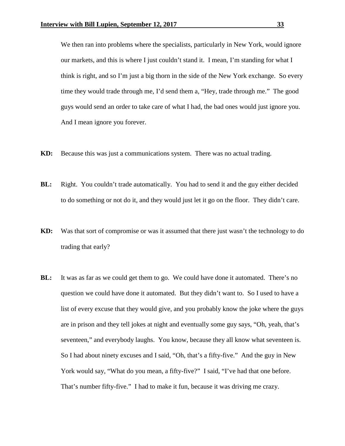We then ran into problems where the specialists, particularly in New York, would ignore our markets, and this is where I just couldn't stand it. I mean, I'm standing for what I think is right, and so I'm just a big thorn in the side of the New York exchange. So every time they would trade through me, I'd send them a, "Hey, trade through me." The good guys would send an order to take care of what I had, the bad ones would just ignore you. And I mean ignore you forever.

- **KD:** Because this was just a communications system. There was no actual trading.
- **BL:** Right. You couldn't trade automatically. You had to send it and the guy either decided to do something or not do it, and they would just let it go on the floor. They didn't care.
- **KD:** Was that sort of compromise or was it assumed that there just wasn't the technology to do trading that early?
- **BL:** It was as far as we could get them to go. We could have done it automated. There's no question we could have done it automated. But they didn't want to. So I used to have a list of every excuse that they would give, and you probably know the joke where the guys are in prison and they tell jokes at night and eventually some guy says, "Oh, yeah, that's seventeen," and everybody laughs. You know, because they all know what seventeen is. So I had about ninety excuses and I said, "Oh, that's a fifty-five." And the guy in New York would say, "What do you mean, a fifty-five?" I said, "I've had that one before. That's number fifty-five." I had to make it fun, because it was driving me crazy.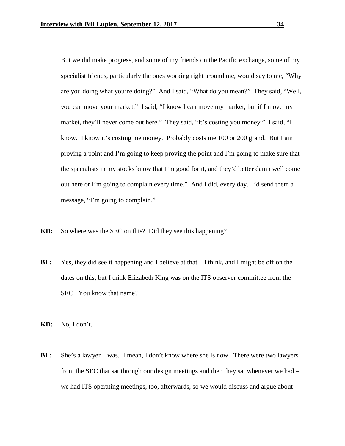But we did make progress, and some of my friends on the Pacific exchange, some of my specialist friends, particularly the ones working right around me, would say to me, "Why are you doing what you're doing?" And I said, "What do you mean?" They said, "Well, you can move your market." I said, "I know I can move my market, but if I move my market, they'll never come out here." They said, "It's costing you money." I said, "I know. I know it's costing me money. Probably costs me 100 or 200 grand. But I am proving a point and I'm going to keep proving the point and I'm going to make sure that the specialists in my stocks know that I'm good for it, and they'd better damn well come out here or I'm going to complain every time." And I did, every day. I'd send them a message, "I'm going to complain."

- **KD:** So where was the SEC on this? Did they see this happening?
- **BL:** Yes, they did see it happening and I believe at that I think, and I might be off on the dates on this, but I think Elizabeth King was on the ITS observer committee from the SEC. You know that name?
- **KD:** No, I don't.
- **BL:** She's a lawyer was. I mean, I don't know where she is now. There were two lawyers from the SEC that sat through our design meetings and then they sat whenever we had – we had ITS operating meetings, too, afterwards, so we would discuss and argue about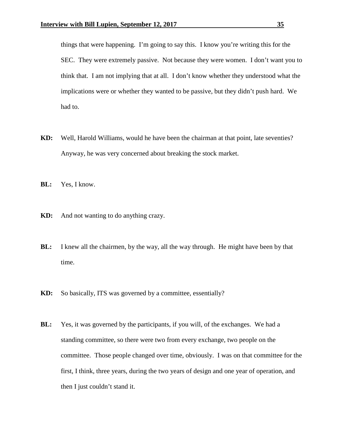things that were happening. I'm going to say this. I know you're writing this for the SEC. They were extremely passive. Not because they were women. I don't want you to think that. I am not implying that at all. I don't know whether they understood what the implications were or whether they wanted to be passive, but they didn't push hard. We had to.

- **KD:** Well, Harold Williams, would he have been the chairman at that point, late seventies? Anyway, he was very concerned about breaking the stock market.
- **BL:** Yes, I know.
- **KD:** And not wanting to do anything crazy.
- **BL:** I knew all the chairmen, by the way, all the way through. He might have been by that time.
- **KD:** So basically, ITS was governed by a committee, essentially?
- **BL:** Yes, it was governed by the participants, if you will, of the exchanges. We had a standing committee, so there were two from every exchange, two people on the committee. Those people changed over time, obviously. I was on that committee for the first, I think, three years, during the two years of design and one year of operation, and then I just couldn't stand it.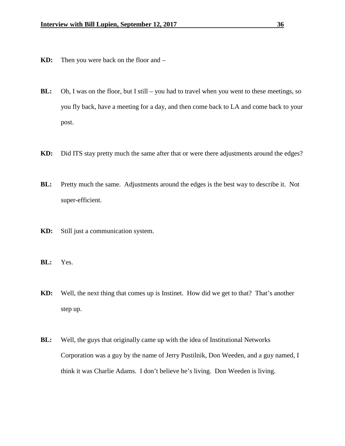- **KD:** Then you were back on the floor and –
- **BL:** Oh, I was on the floor, but I still you had to travel when you went to these meetings, so you fly back, have a meeting for a day, and then come back to LA and come back to your post.
- **KD:** Did ITS stay pretty much the same after that or were there adjustments around the edges?
- **BL:** Pretty much the same. Adjustments around the edges is the best way to describe it. Not super-efficient.
- **KD:** Still just a communication system.
- **BL:** Yes.
- **KD:** Well, the next thing that comes up is Instinet. How did we get to that? That's another step up.
- **BL:** Well, the guys that originally came up with the idea of Institutional Networks Corporation was a guy by the name of Jerry Pustilnik, Don Weeden, and a guy named, I think it was Charlie Adams. I don't believe he's living. Don Weeden is living.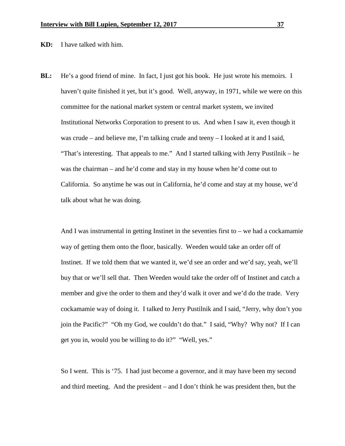**KD:** I have talked with him.

**BL:** He's a good friend of mine. In fact, I just got his book. He just wrote his memoirs. I haven't quite finished it yet, but it's good. Well, anyway, in 1971, while we were on this committee for the national market system or central market system, we invited Institutional Networks Corporation to present to us. And when I saw it, even though it was crude – and believe me, I'm talking crude and teeny – I looked at it and I said, "That's interesting. That appeals to me." And I started talking with Jerry Pustilnik – he was the chairman – and he'd come and stay in my house when he'd come out to California. So anytime he was out in California, he'd come and stay at my house, we'd talk about what he was doing.

And I was instrumental in getting Instinet in the seventies first to – we had a cockamamie way of getting them onto the floor, basically. Weeden would take an order off of Instinet. If we told them that we wanted it, we'd see an order and we'd say, yeah, we'll buy that or we'll sell that. Then Weeden would take the order off of Instinet and catch a member and give the order to them and they'd walk it over and we'd do the trade. Very cockamamie way of doing it. I talked to Jerry Pustilnik and I said, "Jerry, why don't you join the Pacific?" "Oh my God, we couldn't do that." I said, "Why? Why not? If I can get you in, would you be willing to do it?" "Well, yes."

So I went. This is '75. I had just become a governor, and it may have been my second and third meeting. And the president – and I don't think he was president then, but the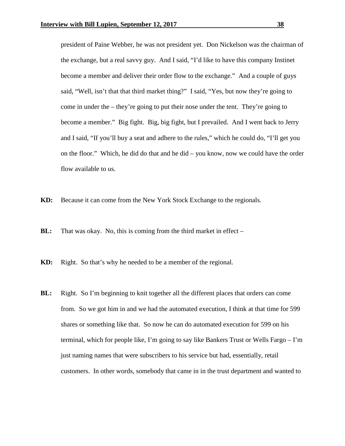president of Paine Webber, he was not president yet. Don Nickelson was the chairman of the exchange, but a real savvy guy. And I said, "I'd like to have this company Instinet become a member and deliver their order flow to the exchange." And a couple of guys said, "Well, isn't that that third market thing?" I said, "Yes, but now they're going to come in under the – they're going to put their nose under the tent. They're going to become a member." Big fight. Big, big fight, but I prevailed. And I went back to Jerry and I said, "If you'll buy a seat and adhere to the rules," which he could do, "I'll get you on the floor." Which, he did do that and he did – you know, now we could have the order flow available to us.

**KD:** Because it can come from the New York Stock Exchange to the regionals.

- **BL:** That was okay. No, this is coming from the third market in effect –
- **KD:** Right. So that's why he needed to be a member of the regional.
- **BL:** Right. So I'm beginning to knit together all the different places that orders can come from. So we got him in and we had the automated execution, I think at that time for 599 shares or something like that. So now he can do automated execution for 599 on his terminal, which for people like, I'm going to say like Bankers Trust or Wells Fargo  $-$  I'm just naming names that were subscribers to his service but had, essentially, retail customers. In other words, somebody that came in in the trust department and wanted to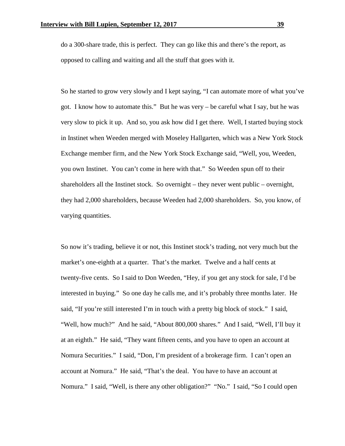do a 300-share trade, this is perfect. They can go like this and there's the report, as opposed to calling and waiting and all the stuff that goes with it.

So he started to grow very slowly and I kept saying, "I can automate more of what you've got. I know how to automate this." But he was very – be careful what I say, but he was very slow to pick it up. And so, you ask how did I get there. Well, I started buying stock in Instinet when Weeden merged with Moseley Hallgarten, which was a New York Stock Exchange member firm, and the New York Stock Exchange said, "Well, you, Weeden, you own Instinet. You can't come in here with that." So Weeden spun off to their shareholders all the Instinet stock. So overnight – they never went public – overnight, they had 2,000 shareholders, because Weeden had 2,000 shareholders. So, you know, of varying quantities.

So now it's trading, believe it or not, this Instinet stock's trading, not very much but the market's one-eighth at a quarter. That's the market. Twelve and a half cents at twenty-five cents. So I said to Don Weeden, "Hey, if you get any stock for sale, I'd be interested in buying." So one day he calls me, and it's probably three months later. He said, "If you're still interested I'm in touch with a pretty big block of stock." I said, "Well, how much?" And he said, "About 800,000 shares." And I said, "Well, I'll buy it at an eighth." He said, "They want fifteen cents, and you have to open an account at Nomura Securities." I said, "Don, I'm president of a brokerage firm. I can't open an account at Nomura." He said, "That's the deal. You have to have an account at Nomura." I said, "Well, is there any other obligation?" "No." I said, "So I could open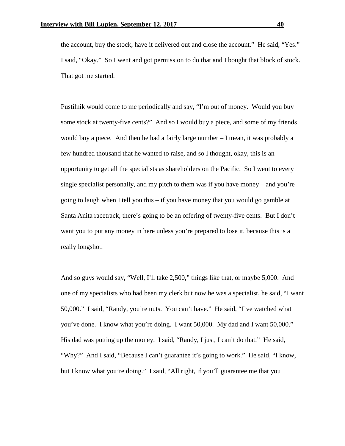the account, buy the stock, have it delivered out and close the account." He said, "Yes." I said, "Okay." So I went and got permission to do that and I bought that block of stock. That got me started.

Pustilnik would come to me periodically and say, "I'm out of money. Would you buy some stock at twenty-five cents?" And so I would buy a piece, and some of my friends would buy a piece. And then he had a fairly large number  $-I$  mean, it was probably a few hundred thousand that he wanted to raise, and so I thought, okay, this is an opportunity to get all the specialists as shareholders on the Pacific. So I went to every single specialist personally, and my pitch to them was if you have money – and you're going to laugh when I tell you this – if you have money that you would go gamble at Santa Anita racetrack, there's going to be an offering of twenty-five cents. But I don't want you to put any money in here unless you're prepared to lose it, because this is a really longshot.

And so guys would say, "Well, I'll take 2,500," things like that, or maybe 5,000. And one of my specialists who had been my clerk but now he was a specialist, he said, "I want 50,000." I said, "Randy, you're nuts. You can't have." He said, "I've watched what you've done. I know what you're doing. I want 50,000. My dad and I want 50,000." His dad was putting up the money. I said, "Randy, I just, I can't do that." He said, "Why?" And I said, "Because I can't guarantee it's going to work." He said, "I know, but I know what you're doing." I said, "All right, if you'll guarantee me that you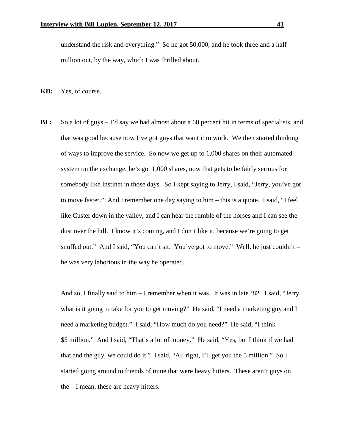understand the risk and everything." So he got 50,000, and he took three and a half million out, by the way, which I was thrilled about.

- **KD:** Yes, of course.
- **BL:** So a lot of guys I'd say we had almost about a 60 percent hit in terms of specialists, and that was good because now I've got guys that want it to work. We then started thinking of ways to improve the service. So now we get up to 1,000 shares on their automated system on the exchange, he's got 1,000 shares, now that gets to be fairly serious for somebody like Instinet in those days. So I kept saying to Jerry, I said, "Jerry, you've got to move faster." And I remember one day saying to him – this is a quote. I said, "I feel like Custer down in the valley, and I can hear the rumble of the horses and I can see the dust over the hill. I know it's coming, and I don't like it, because we're going to get snuffed out." And I said, "You can't sit. You've got to move." Well, he just couldn't  $$ he was very laborious in the way he operated.

And so, I finally said to him – I remember when it was. It was in late '82. I said, "Jerry, what is it going to take for you to get moving?" He said, "I need a marketing guy and I need a marketing budget." I said, "How much do you need?" He said, "I think \$5 million." And I said, "That's a lot of money." He said, "Yes, but I think if we had that and the guy, we could do it." I said, "All right, I'll get you the 5 million." So I started going around to friends of mine that were heavy hitters. These aren't guys on the – I mean, these are heavy hitters.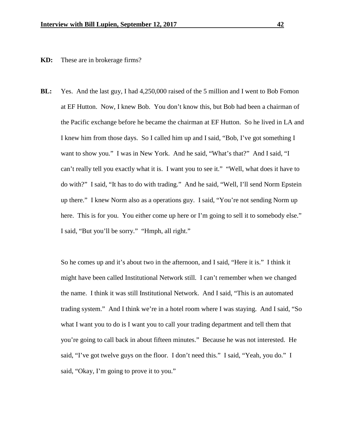## **KD:** These are in brokerage firms?

**BL:** Yes. And the last guy, I had 4,250,000 raised of the 5 million and I went to Bob Fomon at EF Hutton. Now, I knew Bob. You don't know this, but Bob had been a chairman of the Pacific exchange before he became the chairman at EF Hutton. So he lived in LA and I knew him from those days. So I called him up and I said, "Bob, I've got something I want to show you." I was in New York. And he said, "What's that?" And I said, "I can't really tell you exactly what it is. I want you to see it." "Well, what does it have to do with?" I said, "It has to do with trading." And he said, "Well, I'll send Norm Epstein up there." I knew Norm also as a operations guy. I said, "You're not sending Norm up here. This is for you. You either come up here or I'm going to sell it to somebody else." I said, "But you'll be sorry." "Hmph, all right."

So he comes up and it's about two in the afternoon, and I said, "Here it is." I think it might have been called Institutional Network still. I can't remember when we changed the name. I think it was still Institutional Network. And I said, "This is an automated trading system." And I think we're in a hotel room where I was staying. And I said, "So what I want you to do is I want you to call your trading department and tell them that you're going to call back in about fifteen minutes." Because he was not interested. He said, "I've got twelve guys on the floor. I don't need this." I said, "Yeah, you do." I said, "Okay, I'm going to prove it to you."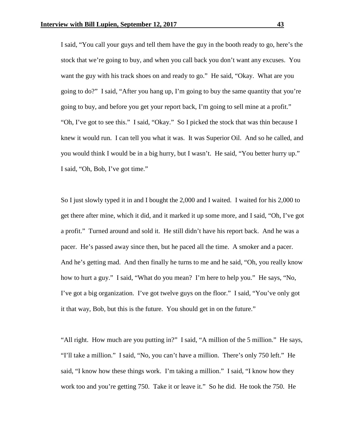I said, "You call your guys and tell them have the guy in the booth ready to go, here's the stock that we're going to buy, and when you call back you don't want any excuses. You want the guy with his track shoes on and ready to go." He said, "Okay. What are you going to do?" I said, "After you hang up, I'm going to buy the same quantity that you're going to buy, and before you get your report back, I'm going to sell mine at a profit." "Oh, I've got to see this." I said, "Okay." So I picked the stock that was thin because I knew it would run. I can tell you what it was. It was Superior Oil. And so he called, and you would think I would be in a big hurry, but I wasn't. He said, "You better hurry up." I said, "Oh, Bob, I've got time."

So I just slowly typed it in and I bought the 2,000 and I waited. I waited for his 2,000 to get there after mine, which it did, and it marked it up some more, and I said, "Oh, I've got a profit." Turned around and sold it. He still didn't have his report back. And he was a pacer. He's passed away since then, but he paced all the time. A smoker and a pacer. And he's getting mad. And then finally he turns to me and he said, "Oh, you really know how to hurt a guy." I said, "What do you mean? I'm here to help you." He says, "No, I've got a big organization. I've got twelve guys on the floor." I said, "You've only got it that way, Bob, but this is the future. You should get in on the future."

"All right. How much are you putting in?" I said, "A million of the 5 million." He says, "I'll take a million." I said, "No, you can't have a million. There's only 750 left." He said, "I know how these things work. I'm taking a million." I said, "I know how they work too and you're getting 750. Take it or leave it." So he did. He took the 750. He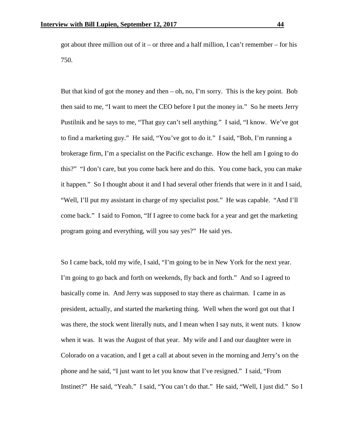got about three million out of it – or three and a half million, I can't remember – for his 750.

But that kind of got the money and then  $-$  oh, no, I'm sorry. This is the key point. Bob then said to me, "I want to meet the CEO before I put the money in." So he meets Jerry Pustilnik and he says to me, "That guy can't sell anything." I said, "I know. We've got to find a marketing guy." He said, "You've got to do it." I said, "Bob, I'm running a brokerage firm, I'm a specialist on the Pacific exchange. How the hell am I going to do this?" "I don't care, but you come back here and do this. You come back, you can make it happen." So I thought about it and I had several other friends that were in it and I said, "Well, I'll put my assistant in charge of my specialist post." He was capable. "And I'll come back." I said to Fomon, "If I agree to come back for a year and get the marketing program going and everything, will you say yes?" He said yes.

So I came back, told my wife, I said, "I'm going to be in New York for the next year. I'm going to go back and forth on weekends, fly back and forth." And so I agreed to basically come in. And Jerry was supposed to stay there as chairman. I came in as president, actually, and started the marketing thing. Well when the word got out that I was there, the stock went literally nuts, and I mean when I say nuts, it went nuts. I know when it was. It was the August of that year. My wife and I and our daughter were in Colorado on a vacation, and I get a call at about seven in the morning and Jerry's on the phone and he said, "I just want to let you know that I've resigned." I said, "From Instinet?" He said, "Yeah." I said, "You can't do that." He said, "Well, I just did." So I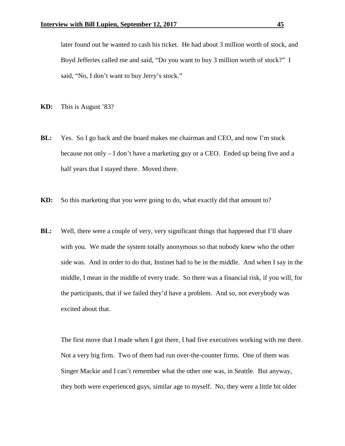later found out he wanted to cash his ticket. He had about 3 million worth of stock, and Boyd Jefferies called me and said, "Do you want to buy 3 million worth of stock?" I said, "No, I don't want to buy Jerry's stock."

- **KD:** This is August '83?
- **BL:** Yes. So I go back and the board makes me chairman and CEO, and now I'm stuck because not only – I don't have a marketing guy or a CEO. Ended up being five and a half years that I stayed there. Moved there.
- **KD:** So this marketing that you were going to do, what exactly did that amount to?
- **BL:** Well, there were a couple of very, very significant things that happened that I'll share with you. We made the system totally anonymous so that nobody knew who the other side was. And in order to do that, Instinet had to be in the middle. And when I say in the middle, I mean in the middle of every trade. So there was a financial risk, if you will, for the participants, that if we failed they'd have a problem. And so, not everybody was excited about that.

The first move that I made when I got there, I had five executives working with me there. Not a very big firm. Two of them had run over-the-counter firms. One of them was Singer Mackie and I can't remember what the other one was, in Seattle. But anyway, they both were experienced guys, similar age to myself. No, they were a little bit older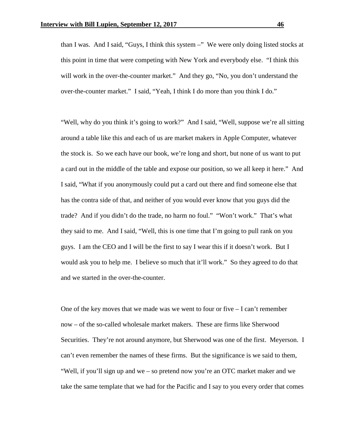than I was. And I said, "Guys, I think this system –" We were only doing listed stocks at this point in time that were competing with New York and everybody else. "I think this will work in the over-the-counter market." And they go, "No, you don't understand the over-the-counter market." I said, "Yeah, I think I do more than you think I do."

"Well, why do you think it's going to work?" And I said, "Well, suppose we're all sitting around a table like this and each of us are market makers in Apple Computer, whatever the stock is. So we each have our book, we're long and short, but none of us want to put a card out in the middle of the table and expose our position, so we all keep it here." And I said, "What if you anonymously could put a card out there and find someone else that has the contra side of that, and neither of you would ever know that you guys did the trade? And if you didn't do the trade, no harm no foul." "Won't work." That's what they said to me. And I said, "Well, this is one time that I'm going to pull rank on you guys. I am the CEO and I will be the first to say I wear this if it doesn't work. But I would ask you to help me. I believe so much that it'll work." So they agreed to do that and we started in the over-the-counter.

One of the key moves that we made was we went to four or five  $-1$  can't remember now – of the so-called wholesale market makers. These are firms like Sherwood Securities. They're not around anymore, but Sherwood was one of the first. Meyerson. I can't even remember the names of these firms. But the significance is we said to them, "Well, if you'll sign up and we – so pretend now you're an OTC market maker and we take the same template that we had for the Pacific and I say to you every order that comes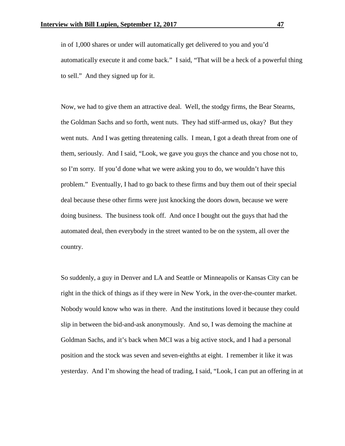in of 1,000 shares or under will automatically get delivered to you and you'd automatically execute it and come back." I said, "That will be a heck of a powerful thing to sell." And they signed up for it.

Now, we had to give them an attractive deal. Well, the stodgy firms, the Bear Stearns, the Goldman Sachs and so forth, went nuts. They had stiff-armed us, okay? But they went nuts. And I was getting threatening calls. I mean, I got a death threat from one of them, seriously. And I said, "Look, we gave you guys the chance and you chose not to, so I'm sorry. If you'd done what we were asking you to do, we wouldn't have this problem." Eventually, I had to go back to these firms and buy them out of their special deal because these other firms were just knocking the doors down, because we were doing business. The business took off. And once I bought out the guys that had the automated deal, then everybody in the street wanted to be on the system, all over the country.

So suddenly, a guy in Denver and LA and Seattle or Minneapolis or Kansas City can be right in the thick of things as if they were in New York, in the over-the-counter market. Nobody would know who was in there. And the institutions loved it because they could slip in between the bid-and-ask anonymously. And so, I was demoing the machine at Goldman Sachs, and it's back when MCI was a big active stock, and I had a personal position and the stock was seven and seven-eighths at eight. I remember it like it was yesterday. And I'm showing the head of trading, I said, "Look, I can put an offering in at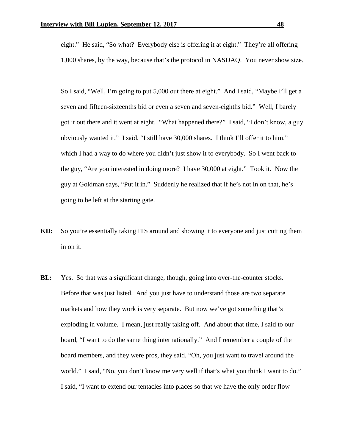eight." He said, "So what? Everybody else is offering it at eight." They're all offering 1,000 shares, by the way, because that's the protocol in NASDAQ. You never show size.

So I said, "Well, I'm going to put 5,000 out there at eight." And I said, "Maybe I'll get a seven and fifteen-sixteenths bid or even a seven and seven-eighths bid." Well, I barely got it out there and it went at eight. "What happened there?" I said, "I don't know, a guy obviously wanted it." I said, "I still have 30,000 shares. I think I'll offer it to him," which I had a way to do where you didn't just show it to everybody. So I went back to the guy, "Are you interested in doing more? I have 30,000 at eight." Took it. Now the guy at Goldman says, "Put it in." Suddenly he realized that if he's not in on that, he's going to be left at the starting gate.

- **KD:** So you're essentially taking ITS around and showing it to everyone and just cutting them in on it.
- **BL:** Yes. So that was a significant change, though, going into over-the-counter stocks. Before that was just listed. And you just have to understand those are two separate markets and how they work is very separate. But now we've got something that's exploding in volume. I mean, just really taking off. And about that time, I said to our board, "I want to do the same thing internationally." And I remember a couple of the board members, and they were pros, they said, "Oh, you just want to travel around the world." I said, "No, you don't know me very well if that's what you think I want to do." I said, "I want to extend our tentacles into places so that we have the only order flow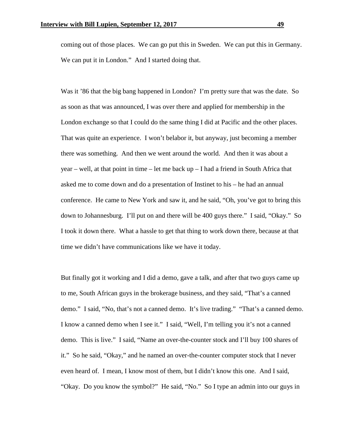coming out of those places. We can go put this in Sweden. We can put this in Germany. We can put it in London." And I started doing that.

Was it '86 that the big bang happened in London? I'm pretty sure that was the date. So as soon as that was announced, I was over there and applied for membership in the London exchange so that I could do the same thing I did at Pacific and the other places. That was quite an experience. I won't belabor it, but anyway, just becoming a member there was something. And then we went around the world. And then it was about a  $year - well$ , at that point in time – let me back  $up - I$  had a friend in South Africa that asked me to come down and do a presentation of Instinet to his – he had an annual conference. He came to New York and saw it, and he said, "Oh, you've got to bring this down to Johannesburg. I'll put on and there will be 400 guys there." I said, "Okay." So I took it down there. What a hassle to get that thing to work down there, because at that time we didn't have communications like we have it today.

But finally got it working and I did a demo, gave a talk, and after that two guys came up to me, South African guys in the brokerage business, and they said, "That's a canned demo." I said, "No, that's not a canned demo. It's live trading." "That's a canned demo. I know a canned demo when I see it." I said, "Well, I'm telling you it's not a canned demo. This is live." I said, "Name an over-the-counter stock and I'll buy 100 shares of it." So he said, "Okay," and he named an over-the-counter computer stock that I never even heard of. I mean, I know most of them, but I didn't know this one. And I said, "Okay. Do you know the symbol?" He said, "No." So I type an admin into our guys in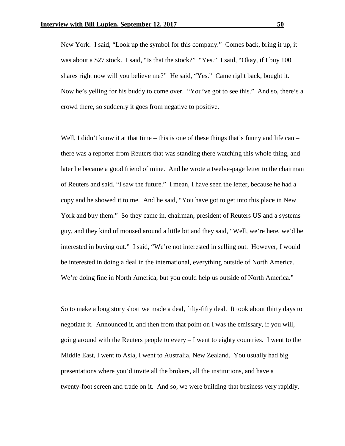New York. I said, "Look up the symbol for this company." Comes back, bring it up, it was about a \$27 stock. I said, "Is that the stock?" "Yes." I said, "Okay, if I buy 100 shares right now will you believe me?" He said, "Yes." Came right back, bought it. Now he's yelling for his buddy to come over. "You've got to see this." And so, there's a crowd there, so suddenly it goes from negative to positive.

Well, I didn't know it at that time – this is one of these things that's funny and life can – there was a reporter from Reuters that was standing there watching this whole thing, and later he became a good friend of mine. And he wrote a twelve-page letter to the chairman of Reuters and said, "I saw the future." I mean, I have seen the letter, because he had a copy and he showed it to me. And he said, "You have got to get into this place in New York and buy them." So they came in, chairman, president of Reuters US and a systems guy, and they kind of moused around a little bit and they said, "Well, we're here, we'd be interested in buying out." I said, "We're not interested in selling out. However, I would be interested in doing a deal in the international, everything outside of North America. We're doing fine in North America, but you could help us outside of North America."

So to make a long story short we made a deal, fifty-fifty deal. It took about thirty days to negotiate it. Announced it, and then from that point on I was the emissary, if you will, going around with the Reuters people to every – I went to eighty countries. I went to the Middle East, I went to Asia, I went to Australia, New Zealand. You usually had big presentations where you'd invite all the brokers, all the institutions, and have a twenty-foot screen and trade on it. And so, we were building that business very rapidly,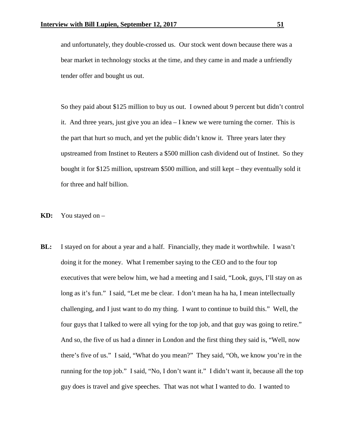and unfortunately, they double-crossed us. Our stock went down because there was a bear market in technology stocks at the time, and they came in and made a unfriendly tender offer and bought us out.

So they paid about \$125 million to buy us out. I owned about 9 percent but didn't control it. And three years, just give you an idea – I knew we were turning the corner. This is the part that hurt so much, and yet the public didn't know it. Three years later they upstreamed from Instinet to Reuters a \$500 million cash dividend out of Instinet. So they bought it for \$125 million, upstream \$500 million, and still kept – they eventually sold it for three and half billion.

- **KD:** You stayed on –
- **BL:** I stayed on for about a year and a half. Financially, they made it worthwhile. I wasn't doing it for the money. What I remember saying to the CEO and to the four top executives that were below him, we had a meeting and I said, "Look, guys, I'll stay on as long as it's fun." I said, "Let me be clear. I don't mean ha ha ha, I mean intellectually challenging, and I just want to do my thing. I want to continue to build this." Well, the four guys that I talked to were all vying for the top job, and that guy was going to retire." And so, the five of us had a dinner in London and the first thing they said is, "Well, now there's five of us." I said, "What do you mean?" They said, "Oh, we know you're in the running for the top job." I said, "No, I don't want it." I didn't want it, because all the top guy does is travel and give speeches. That was not what I wanted to do. I wanted to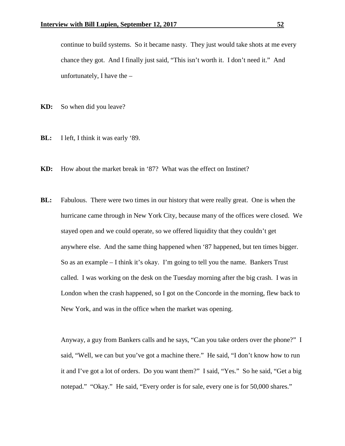continue to build systems. So it became nasty. They just would take shots at me every chance they got. And I finally just said, "This isn't worth it. I don't need it." And unfortunately, I have the –

**KD:** So when did you leave?

- **BL:** I left, I think it was early '89.
- **KD:** How about the market break in '87? What was the effect on Instinet?
- **BL:** Fabulous. There were two times in our history that were really great. One is when the hurricane came through in New York City, because many of the offices were closed. We stayed open and we could operate, so we offered liquidity that they couldn't get anywhere else. And the same thing happened when '87 happened, but ten times bigger. So as an example – I think it's okay. I'm going to tell you the name. Bankers Trust called. I was working on the desk on the Tuesday morning after the big crash. I was in London when the crash happened, so I got on the Concorde in the morning, flew back to New York, and was in the office when the market was opening.

Anyway, a guy from Bankers calls and he says, "Can you take orders over the phone?" I said, "Well, we can but you've got a machine there." He said, "I don't know how to run it and I've got a lot of orders. Do you want them?" I said, "Yes." So he said, "Get a big notepad." "Okay." He said, "Every order is for sale, every one is for 50,000 shares."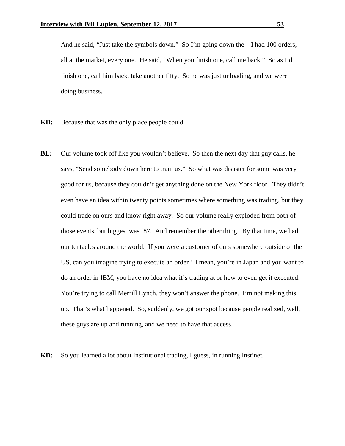And he said, "Just take the symbols down." So I'm going down the – I had 100 orders, all at the market, every one. He said, "When you finish one, call me back." So as I'd finish one, call him back, take another fifty. So he was just unloading, and we were doing business.

- **KD:** Because that was the only place people could –
- **BL:** Our volume took off like you wouldn't believe. So then the next day that guy calls, he says, "Send somebody down here to train us." So what was disaster for some was very good for us, because they couldn't get anything done on the New York floor. They didn't even have an idea within twenty points sometimes where something was trading, but they could trade on ours and know right away. So our volume really exploded from both of those events, but biggest was '87. And remember the other thing. By that time, we had our tentacles around the world. If you were a customer of ours somewhere outside of the US, can you imagine trying to execute an order? I mean, you're in Japan and you want to do an order in IBM, you have no idea what it's trading at or how to even get it executed. You're trying to call Merrill Lynch, they won't answer the phone. I'm not making this up. That's what happened. So, suddenly, we got our spot because people realized, well, these guys are up and running, and we need to have that access.

**KD:** So you learned a lot about institutional trading, I guess, in running Instinet.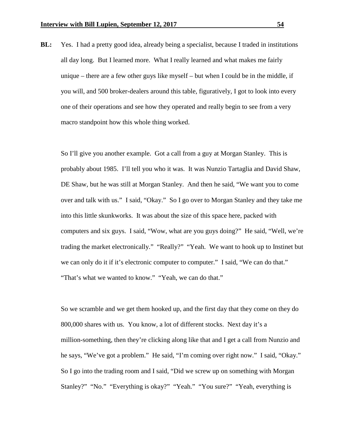**BL:** Yes. I had a pretty good idea, already being a specialist, because I traded in institutions all day long. But I learned more. What I really learned and what makes me fairly unique – there are a few other guys like myself – but when I could be in the middle, if you will, and 500 broker-dealers around this table, figuratively, I got to look into every one of their operations and see how they operated and really begin to see from a very macro standpoint how this whole thing worked.

So I'll give you another example. Got a call from a guy at Morgan Stanley. This is probably about 1985. I'll tell you who it was. It was Nunzio Tartaglia and David Shaw, DE Shaw, but he was still at Morgan Stanley. And then he said, "We want you to come over and talk with us." I said, "Okay." So I go over to Morgan Stanley and they take me into this little skunkworks. It was about the size of this space here, packed with computers and six guys. I said, "Wow, what are you guys doing?" He said, "Well, we're trading the market electronically." "Really?" "Yeah. We want to hook up to Instinet but we can only do it if it's electronic computer to computer." I said, "We can do that." "That's what we wanted to know." "Yeah, we can do that."

So we scramble and we get them hooked up, and the first day that they come on they do 800,000 shares with us. You know, a lot of different stocks. Next day it's a million-something, then they're clicking along like that and I get a call from Nunzio and he says, "We've got a problem." He said, "I'm coming over right now." I said, "Okay." So I go into the trading room and I said, "Did we screw up on something with Morgan Stanley?" "No." "Everything is okay?" "Yeah." "You sure?" "Yeah, everything is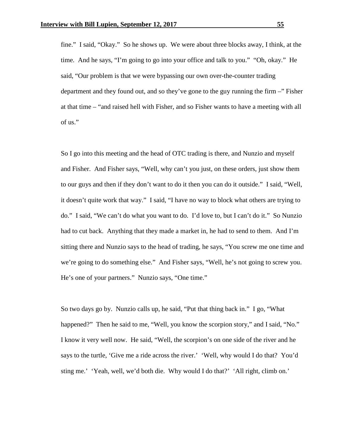fine." I said, "Okay." So he shows up. We were about three blocks away, I think, at the time. And he says, "I'm going to go into your office and talk to you." "Oh, okay." He said, "Our problem is that we were bypassing our own over-the-counter trading department and they found out, and so they've gone to the guy running the firm –" Fisher at that time – "and raised hell with Fisher, and so Fisher wants to have a meeting with all of us."

So I go into this meeting and the head of OTC trading is there, and Nunzio and myself and Fisher. And Fisher says, "Well, why can't you just, on these orders, just show them to our guys and then if they don't want to do it then you can do it outside." I said, "Well, it doesn't quite work that way." I said, "I have no way to block what others are trying to do." I said, "We can't do what you want to do. I'd love to, but I can't do it." So Nunzio had to cut back. Anything that they made a market in, he had to send to them. And I'm sitting there and Nunzio says to the head of trading, he says, "You screw me one time and we're going to do something else." And Fisher says, "Well, he's not going to screw you. He's one of your partners." Nunzio says, "One time."

So two days go by. Nunzio calls up, he said, "Put that thing back in." I go, "What happened?" Then he said to me, "Well, you know the scorpion story," and I said, "No." I know it very well now. He said, "Well, the scorpion's on one side of the river and he says to the turtle, 'Give me a ride across the river.' 'Well, why would I do that? You'd sting me.' 'Yeah, well, we'd both die. Why would I do that?' 'All right, climb on.'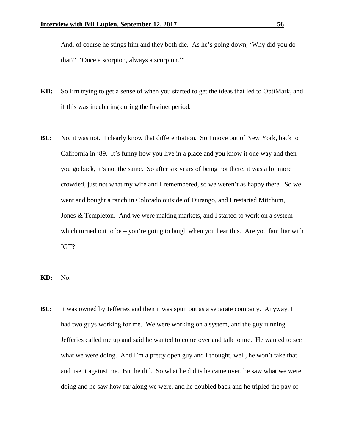And, of course he stings him and they both die. As he's going down, 'Why did you do that?' 'Once a scorpion, always a scorpion.'"

- **KD:** So I'm trying to get a sense of when you started to get the ideas that led to OptiMark, and if this was incubating during the Instinet period.
- **BL:** No, it was not. I clearly know that differentiation. So I move out of New York, back to California in '89. It's funny how you live in a place and you know it one way and then you go back, it's not the same. So after six years of being not there, it was a lot more crowded, just not what my wife and I remembered, so we weren't as happy there. So we went and bought a ranch in Colorado outside of Durango, and I restarted Mitchum, Jones & Templeton. And we were making markets, and I started to work on a system which turned out to be – you're going to laugh when you hear this. Are you familiar with IGT?
- **KD:** No.
- **BL:** It was owned by Jefferies and then it was spun out as a separate company. Anyway, I had two guys working for me. We were working on a system, and the guy running Jefferies called me up and said he wanted to come over and talk to me. He wanted to see what we were doing. And I'm a pretty open guy and I thought, well, he won't take that and use it against me. But he did. So what he did is he came over, he saw what we were doing and he saw how far along we were, and he doubled back and he tripled the pay of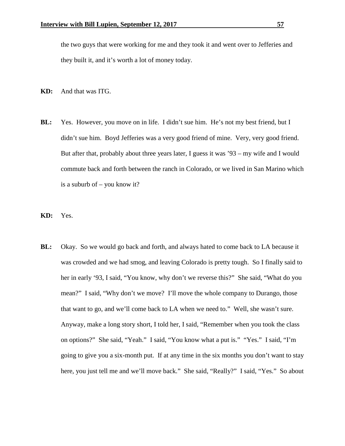the two guys that were working for me and they took it and went over to Jefferies and they built it, and it's worth a lot of money today.

- **KD:** And that was ITG.
- **BL:** Yes. However, you move on in life. I didn't sue him. He's not my best friend, but I didn't sue him. Boyd Jefferies was a very good friend of mine. Very, very good friend. But after that, probably about three years later, I guess it was '93 – my wife and I would commute back and forth between the ranch in Colorado, or we lived in San Marino which is a suburb of – you know it?

**KD:** Yes.

**BL:** Okay. So we would go back and forth, and always hated to come back to LA because it was crowded and we had smog, and leaving Colorado is pretty tough. So I finally said to her in early '93, I said, "You know, why don't we reverse this?" She said, "What do you mean?" I said, "Why don't we move? I'll move the whole company to Durango, those that want to go, and we'll come back to LA when we need to." Well, she wasn't sure. Anyway, make a long story short, I told her, I said, "Remember when you took the class on options?" She said, "Yeah." I said, "You know what a put is." "Yes." I said, "I'm going to give you a six-month put. If at any time in the six months you don't want to stay here, you just tell me and we'll move back." She said, "Really?" I said, "Yes." So about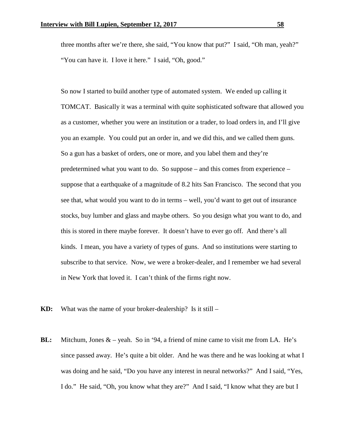three months after we're there, she said, "You know that put?" I said, "Oh man, yeah?" "You can have it. I love it here." I said, "Oh, good."

So now I started to build another type of automated system. We ended up calling it TOMCAT. Basically it was a terminal with quite sophisticated software that allowed you as a customer, whether you were an institution or a trader, to load orders in, and I'll give you an example. You could put an order in, and we did this, and we called them guns. So a gun has a basket of orders, one or more, and you label them and they're predetermined what you want to do. So suppose – and this comes from experience – suppose that a earthquake of a magnitude of 8.2 hits San Francisco. The second that you see that, what would you want to do in terms – well, you'd want to get out of insurance stocks, buy lumber and glass and maybe others. So you design what you want to do, and this is stored in there maybe forever. It doesn't have to ever go off. And there's all kinds. I mean, you have a variety of types of guns. And so institutions were starting to subscribe to that service. Now, we were a broker-dealer, and I remember we had several in New York that loved it. I can't think of the firms right now.

- **KD:** What was the name of your broker-dealership? Is it still –
- **BL:** Mitchum, Jones & yeah. So in '94, a friend of mine came to visit me from LA. He's since passed away. He's quite a bit older. And he was there and he was looking at what I was doing and he said, "Do you have any interest in neural networks?" And I said, "Yes, I do." He said, "Oh, you know what they are?" And I said, "I know what they are but I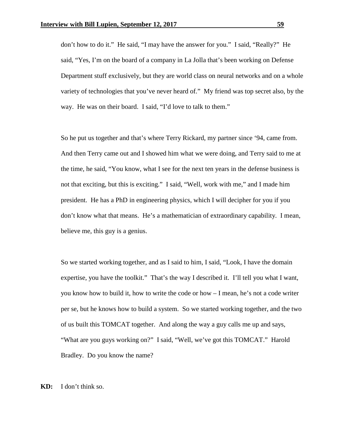don't how to do it." He said, "I may have the answer for you." I said, "Really?" He said, "Yes, I'm on the board of a company in La Jolla that's been working on Defense Department stuff exclusively, but they are world class on neural networks and on a whole variety of technologies that you've never heard of." My friend was top secret also, by the way. He was on their board. I said, "I'd love to talk to them."

So he put us together and that's where Terry Rickard, my partner since '94, came from. And then Terry came out and I showed him what we were doing, and Terry said to me at the time, he said, "You know, what I see for the next ten years in the defense business is not that exciting, but this is exciting." I said, "Well, work with me," and I made him president. He has a PhD in engineering physics, which I will decipher for you if you don't know what that means. He's a mathematician of extraordinary capability. I mean, believe me, this guy is a genius.

So we started working together, and as I said to him, I said, "Look, I have the domain expertise, you have the toolkit." That's the way I described it. I'll tell you what I want, you know how to build it, how to write the code or how – I mean, he's not a code writer per se, but he knows how to build a system. So we started working together, and the two of us built this TOMCAT together. And along the way a guy calls me up and says, "What are you guys working on?" I said, "Well, we've got this TOMCAT." Harold Bradley. Do you know the name?

**KD:** I don't think so.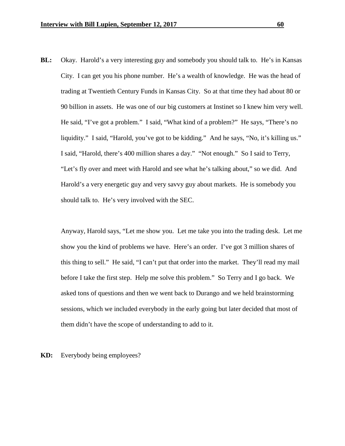**BL:** Okay. Harold's a very interesting guy and somebody you should talk to. He's in Kansas City. I can get you his phone number. He's a wealth of knowledge. He was the head of trading at Twentieth Century Funds in Kansas City. So at that time they had about 80 or 90 billion in assets. He was one of our big customers at Instinet so I knew him very well. He said, "I've got a problem." I said, "What kind of a problem?" He says, "There's no liquidity." I said, "Harold, you've got to be kidding." And he says, "No, it's killing us." I said, "Harold, there's 400 million shares a day." "Not enough." So I said to Terry, "Let's fly over and meet with Harold and see what he's talking about," so we did. And Harold's a very energetic guy and very savvy guy about markets. He is somebody you should talk to. He's very involved with the SEC.

Anyway, Harold says, "Let me show you. Let me take you into the trading desk. Let me show you the kind of problems we have. Here's an order. I've got 3 million shares of this thing to sell." He said, "I can't put that order into the market. They'll read my mail before I take the first step. Help me solve this problem." So Terry and I go back. We asked tons of questions and then we went back to Durango and we held brainstorming sessions, which we included everybody in the early going but later decided that most of them didn't have the scope of understanding to add to it.

## **KD:** Everybody being employees?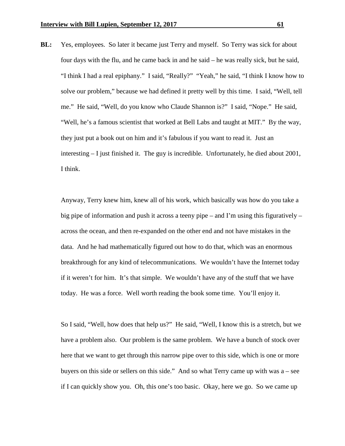**BL:** Yes, employees. So later it became just Terry and myself. So Terry was sick for about four days with the flu, and he came back in and he said – he was really sick, but he said, "I think I had a real epiphany." I said, "Really?" "Yeah," he said, "I think I know how to solve our problem," because we had defined it pretty well by this time. I said, "Well, tell me." He said, "Well, do you know who Claude Shannon is?" I said, "Nope." He said, "Well, he's a famous scientist that worked at Bell Labs and taught at MIT." By the way, they just put a book out on him and it's fabulous if you want to read it. Just an interesting – I just finished it. The guy is incredible. Unfortunately, he died about 2001, I think.

Anyway, Terry knew him, knew all of his work, which basically was how do you take a big pipe of information and push it across a teeny pipe – and I'm using this figuratively – across the ocean, and then re-expanded on the other end and not have mistakes in the data. And he had mathematically figured out how to do that, which was an enormous breakthrough for any kind of telecommunications. We wouldn't have the Internet today if it weren't for him. It's that simple. We wouldn't have any of the stuff that we have today. He was a force. Well worth reading the book some time. You'll enjoy it.

So I said, "Well, how does that help us?" He said, "Well, I know this is a stretch, but we have a problem also. Our problem is the same problem. We have a bunch of stock over here that we want to get through this narrow pipe over to this side, which is one or more buyers on this side or sellers on this side." And so what Terry came up with was  $a$  – see if I can quickly show you. Oh, this one's too basic. Okay, here we go. So we came up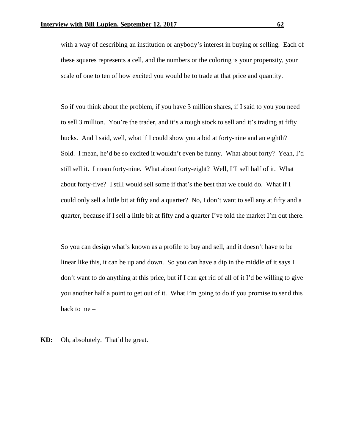with a way of describing an institution or anybody's interest in buying or selling. Each of these squares represents a cell, and the numbers or the coloring is your propensity, your scale of one to ten of how excited you would be to trade at that price and quantity.

So if you think about the problem, if you have 3 million shares, if I said to you you need to sell 3 million. You're the trader, and it's a tough stock to sell and it's trading at fifty bucks. And I said, well, what if I could show you a bid at forty-nine and an eighth? Sold. I mean, he'd be so excited it wouldn't even be funny. What about forty? Yeah, I'd still sell it. I mean forty-nine. What about forty-eight? Well, I'll sell half of it. What about forty-five? I still would sell some if that's the best that we could do. What if I could only sell a little bit at fifty and a quarter? No, I don't want to sell any at fifty and a quarter, because if I sell a little bit at fifty and a quarter I've told the market I'm out there.

So you can design what's known as a profile to buy and sell, and it doesn't have to be linear like this, it can be up and down. So you can have a dip in the middle of it says I don't want to do anything at this price, but if I can get rid of all of it I'd be willing to give you another half a point to get out of it. What I'm going to do if you promise to send this back to me –

**KD:** Oh, absolutely. That'd be great.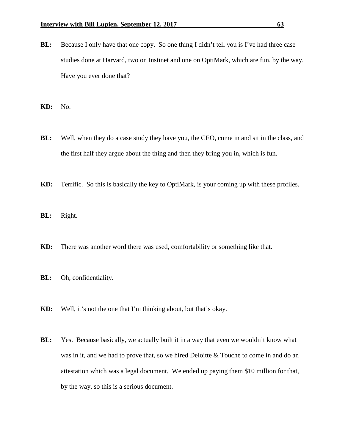- **BL:** Because I only have that one copy. So one thing I didn't tell you is I've had three case studies done at Harvard, two on Instinet and one on OptiMark, which are fun, by the way. Have you ever done that?
- **KD:** No.
- **BL:** Well, when they do a case study they have you, the CEO, come in and sit in the class, and the first half they argue about the thing and then they bring you in, which is fun.
- **KD:** Terrific. So this is basically the key to OptiMark, is your coming up with these profiles.
- **BL:** Right.
- **KD:** There was another word there was used, comfortability or something like that.
- **BL:** Oh, confidentiality.
- **KD:** Well, it's not the one that I'm thinking about, but that's okay.
- **BL:** Yes. Because basically, we actually built it in a way that even we wouldn't know what was in it, and we had to prove that, so we hired Deloitte & Touche to come in and do an attestation which was a legal document. We ended up paying them \$10 million for that, by the way, so this is a serious document.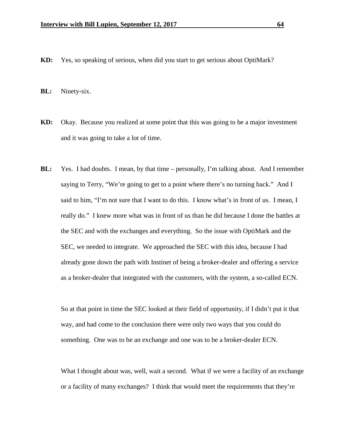**KD:** Yes, so speaking of serious, when did you start to get serious about OptiMark?

**BL:** Ninety-six.

- **KD:** Okay. Because you realized at some point that this was going to be a major investment and it was going to take a lot of time.
- **BL:** Yes. I had doubts. I mean, by that time personally, I'm talking about. And I remember saying to Terry, "We're going to get to a point where there's no turning back." And I said to him, "I'm not sure that I want to do this. I know what's in front of us. I mean, I really do." I knew more what was in front of us than he did because I done the battles at the SEC and with the exchanges and everything. So the issue with OptiMark and the SEC, we needed to integrate. We approached the SEC with this idea, because I had already gone down the path with Instinet of being a broker-dealer and offering a service as a broker-dealer that integrated with the customers, with the system, a so-called ECN.

So at that point in time the SEC looked at their field of opportunity, if I didn't put it that way, and had come to the conclusion there were only two ways that you could do something. One was to be an exchange and one was to be a broker-dealer ECN.

What I thought about was, well, wait a second. What if we were a facility of an exchange or a facility of many exchanges? I think that would meet the requirements that they're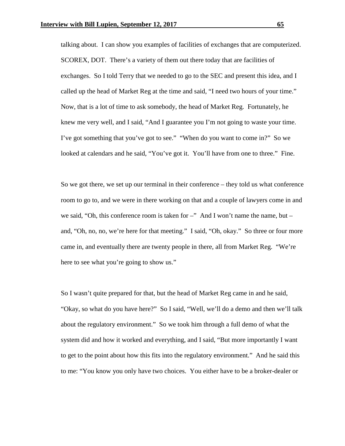talking about. I can show you examples of facilities of exchanges that are computerized. SCOREX, DOT. There's a variety of them out there today that are facilities of exchanges. So I told Terry that we needed to go to the SEC and present this idea, and I called up the head of Market Reg at the time and said, "I need two hours of your time." Now, that is a lot of time to ask somebody, the head of Market Reg. Fortunately, he knew me very well, and I said, "And I guarantee you I'm not going to waste your time. I've got something that you've got to see." "When do you want to come in?" So we looked at calendars and he said, "You've got it. You'll have from one to three." Fine.

So we got there, we set up our terminal in their conference – they told us what conference room to go to, and we were in there working on that and a couple of lawyers come in and we said, "Oh, this conference room is taken for  $-$ " And I won't name the name, but  $$ and, "Oh, no, no, we're here for that meeting." I said, "Oh, okay." So three or four more came in, and eventually there are twenty people in there, all from Market Reg. "We're here to see what you're going to show us."

So I wasn't quite prepared for that, but the head of Market Reg came in and he said, "Okay, so what do you have here?" So I said, "Well, we'll do a demo and then we'll talk about the regulatory environment." So we took him through a full demo of what the system did and how it worked and everything, and I said, "But more importantly I want to get to the point about how this fits into the regulatory environment." And he said this to me: "You know you only have two choices. You either have to be a broker-dealer or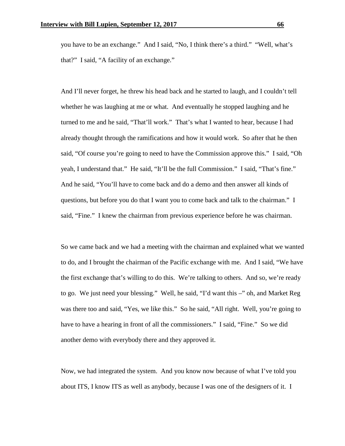you have to be an exchange." And I said, "No, I think there's a third." "Well, what's that?" I said, "A facility of an exchange."

And I'll never forget, he threw his head back and he started to laugh, and I couldn't tell whether he was laughing at me or what. And eventually he stopped laughing and he turned to me and he said, "That'll work." That's what I wanted to hear, because I had already thought through the ramifications and how it would work. So after that he then said, "Of course you're going to need to have the Commission approve this." I said, "Oh yeah, I understand that." He said, "It'll be the full Commission." I said, "That's fine." And he said, "You'll have to come back and do a demo and then answer all kinds of questions, but before you do that I want you to come back and talk to the chairman." I said, "Fine." I knew the chairman from previous experience before he was chairman.

So we came back and we had a meeting with the chairman and explained what we wanted to do, and I brought the chairman of the Pacific exchange with me. And I said, "We have the first exchange that's willing to do this. We're talking to others. And so, we're ready to go. We just need your blessing." Well, he said, "I'd want this –" oh, and Market Reg was there too and said, "Yes, we like this." So he said, "All right. Well, you're going to have to have a hearing in front of all the commissioners." I said, "Fine." So we did another demo with everybody there and they approved it.

Now, we had integrated the system. And you know now because of what I've told you about ITS, I know ITS as well as anybody, because I was one of the designers of it. I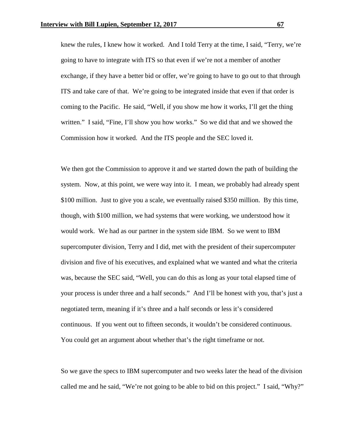knew the rules, I knew how it worked. And I told Terry at the time, I said, "Terry, we're going to have to integrate with ITS so that even if we're not a member of another exchange, if they have a better bid or offer, we're going to have to go out to that through ITS and take care of that. We're going to be integrated inside that even if that order is coming to the Pacific. He said, "Well, if you show me how it works, I'll get the thing written." I said, "Fine, I'll show you how works." So we did that and we showed the Commission how it worked. And the ITS people and the SEC loved it.

We then got the Commission to approve it and we started down the path of building the system. Now, at this point, we were way into it. I mean, we probably had already spent \$100 million. Just to give you a scale, we eventually raised \$350 million. By this time, though, with \$100 million, we had systems that were working, we understood how it would work. We had as our partner in the system side IBM. So we went to IBM supercomputer division, Terry and I did, met with the president of their supercomputer division and five of his executives, and explained what we wanted and what the criteria was, because the SEC said, "Well, you can do this as long as your total elapsed time of your process is under three and a half seconds." And I'll be honest with you, that's just a negotiated term, meaning if it's three and a half seconds or less it's considered continuous. If you went out to fifteen seconds, it wouldn't be considered continuous. You could get an argument about whether that's the right timeframe or not.

So we gave the specs to IBM supercomputer and two weeks later the head of the division called me and he said, "We're not going to be able to bid on this project." I said, "Why?"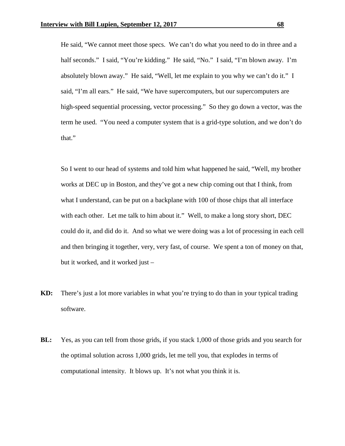He said, "We cannot meet those specs. We can't do what you need to do in three and a half seconds." I said, "You're kidding." He said, "No." I said, "I'm blown away. I'm absolutely blown away." He said, "Well, let me explain to you why we can't do it." I said, "I'm all ears." He said, "We have supercomputers, but our supercomputers are high-speed sequential processing, vector processing." So they go down a vector, was the term he used. "You need a computer system that is a grid-type solution, and we don't do that."

So I went to our head of systems and told him what happened he said, "Well, my brother works at DEC up in Boston, and they've got a new chip coming out that I think, from what I understand, can be put on a backplane with 100 of those chips that all interface with each other. Let me talk to him about it." Well, to make a long story short, DEC could do it, and did do it. And so what we were doing was a lot of processing in each cell and then bringing it together, very, very fast, of course. We spent a ton of money on that, but it worked, and it worked just –

- **KD:** There's just a lot more variables in what you're trying to do than in your typical trading software.
- **BL:** Yes, as you can tell from those grids, if you stack 1,000 of those grids and you search for the optimal solution across 1,000 grids, let me tell you, that explodes in terms of computational intensity. It blows up. It's not what you think it is.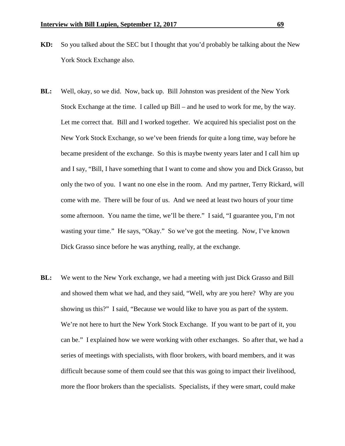- **KD:** So you talked about the SEC but I thought that you'd probably be talking about the New York Stock Exchange also.
- **BL:** Well, okay, so we did. Now, back up. Bill Johnston was president of the New York Stock Exchange at the time. I called up Bill – and he used to work for me, by the way. Let me correct that. Bill and I worked together. We acquired his specialist post on the New York Stock Exchange, so we've been friends for quite a long time, way before he became president of the exchange. So this is maybe twenty years later and I call him up and I say, "Bill, I have something that I want to come and show you and Dick Grasso, but only the two of you. I want no one else in the room. And my partner, Terry Rickard, will come with me. There will be four of us. And we need at least two hours of your time some afternoon. You name the time, we'll be there." I said, "I guarantee you, I'm not wasting your time." He says, "Okay." So we've got the meeting. Now, I've known Dick Grasso since before he was anything, really, at the exchange.
- **BL:** We went to the New York exchange, we had a meeting with just Dick Grasso and Bill and showed them what we had, and they said, "Well, why are you here? Why are you showing us this?" I said, "Because we would like to have you as part of the system. We're not here to hurt the New York Stock Exchange. If you want to be part of it, you can be." I explained how we were working with other exchanges. So after that, we had a series of meetings with specialists, with floor brokers, with board members, and it was difficult because some of them could see that this was going to impact their livelihood, more the floor brokers than the specialists. Specialists, if they were smart, could make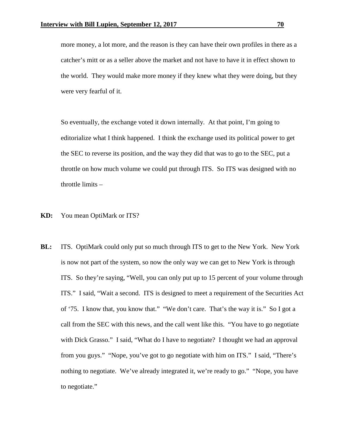more money, a lot more, and the reason is they can have their own profiles in there as a catcher's mitt or as a seller above the market and not have to have it in effect shown to the world. They would make more money if they knew what they were doing, but they were very fearful of it.

So eventually, the exchange voted it down internally. At that point, I'm going to editorialize what I think happened. I think the exchange used its political power to get the SEC to reverse its position, and the way they did that was to go to the SEC, put a throttle on how much volume we could put through ITS. So ITS was designed with no throttle limits –

- **KD:** You mean OptiMark or ITS?
- **BL:** ITS. OptiMark could only put so much through ITS to get to the New York. New York is now not part of the system, so now the only way we can get to New York is through ITS. So they're saying, "Well, you can only put up to 15 percent of your volume through ITS." I said, "Wait a second. ITS is designed to meet a requirement of the Securities Act of '75. I know that, you know that." "We don't care. That's the way it is." So I got a call from the SEC with this news, and the call went like this. "You have to go negotiate with Dick Grasso." I said, "What do I have to negotiate? I thought we had an approval from you guys." "Nope, you've got to go negotiate with him on ITS." I said, "There's nothing to negotiate. We've already integrated it, we're ready to go." "Nope, you have to negotiate."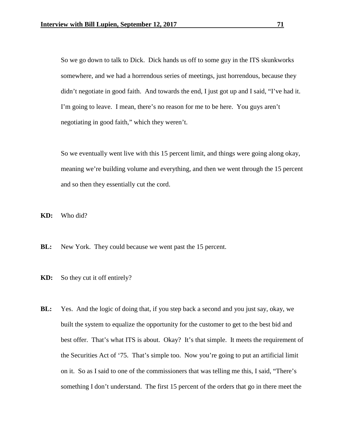So we go down to talk to Dick. Dick hands us off to some guy in the ITS skunkworks somewhere, and we had a horrendous series of meetings, just horrendous, because they didn't negotiate in good faith. And towards the end, I just got up and I said, "I've had it. I'm going to leave. I mean, there's no reason for me to be here. You guys aren't negotiating in good faith," which they weren't.

So we eventually went live with this 15 percent limit, and things were going along okay, meaning we're building volume and everything, and then we went through the 15 percent and so then they essentially cut the cord.

**KD:** Who did?

**BL:** New York. They could because we went past the 15 percent.

**KD:** So they cut it off entirely?

**BL:** Yes. And the logic of doing that, if you step back a second and you just say, okay, we built the system to equalize the opportunity for the customer to get to the best bid and best offer. That's what ITS is about. Okay? It's that simple. It meets the requirement of the Securities Act of '75. That's simple too. Now you're going to put an artificial limit on it. So as I said to one of the commissioners that was telling me this, I said, "There's something I don't understand. The first 15 percent of the orders that go in there meet the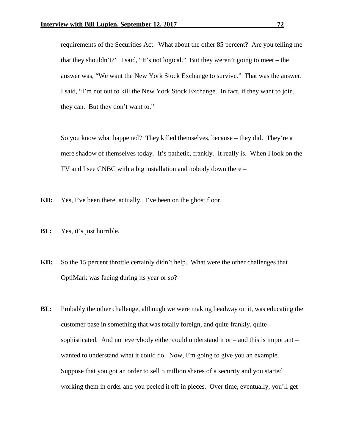requirements of the Securities Act. What about the other 85 percent? Are you telling me that they shouldn't?" I said, "It's not logical." But they weren't going to meet – the answer was, "We want the New York Stock Exchange to survive." That was the answer. I said, "I'm not out to kill the New York Stock Exchange. In fact, if they want to join, they can. But they don't want to."

So you know what happened? They killed themselves, because – they did. They're a mere shadow of themselves today. It's pathetic, frankly. It really is. When I look on the TV and I see CNBC with a big installation and nobody down there –

- **KD:** Yes, I've been there, actually. I've been on the ghost floor.
- **BL:** Yes, it's just horrible.
- **KD:** So the 15 percent throttle certainly didn't help. What were the other challenges that OptiMark was facing during its year or so?
- **BL:** Probably the other challenge, although we were making headway on it, was educating the customer base in something that was totally foreign, and quite frankly, quite sophisticated. And not everybody either could understand it or  $-$  and this is important  $$ wanted to understand what it could do. Now, I'm going to give you an example. Suppose that you got an order to sell 5 million shares of a security and you started working them in order and you peeled it off in pieces. Over time, eventually, you'll get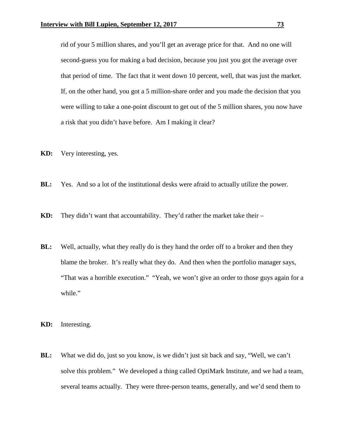rid of your 5 million shares, and you'll get an average price for that. And no one will second-guess you for making a bad decision, because you just you got the average over that period of time. The fact that it went down 10 percent, well, that was just the market. If, on the other hand, you got a 5 million-share order and you made the decision that you were willing to take a one-point discount to get out of the 5 million shares, you now have a risk that you didn't have before. Am I making it clear?

- **KD:** Very interesting, yes.
- **BL:** Yes. And so a lot of the institutional desks were afraid to actually utilize the power.
- **KD:** They didn't want that accountability. They'd rather the market take their –
- **BL:** Well, actually, what they really do is they hand the order off to a broker and then they blame the broker. It's really what they do. And then when the portfolio manager says, "That was a horrible execution." "Yeah, we won't give an order to those guys again for a while."
- **KD:** Interesting.
- **BL:** What we did do, just so you know, is we didn't just sit back and say, "Well, we can't solve this problem." We developed a thing called OptiMark Institute, and we had a team, several teams actually. They were three-person teams, generally, and we'd send them to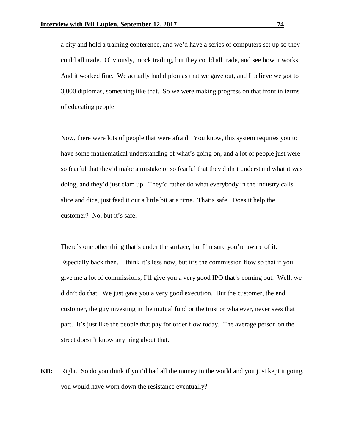a city and hold a training conference, and we'd have a series of computers set up so they could all trade. Obviously, mock trading, but they could all trade, and see how it works. And it worked fine. We actually had diplomas that we gave out, and I believe we got to 3,000 diplomas, something like that. So we were making progress on that front in terms of educating people.

Now, there were lots of people that were afraid. You know, this system requires you to have some mathematical understanding of what's going on, and a lot of people just were so fearful that they'd make a mistake or so fearful that they didn't understand what it was doing, and they'd just clam up. They'd rather do what everybody in the industry calls slice and dice, just feed it out a little bit at a time. That's safe. Does it help the customer? No, but it's safe.

There's one other thing that's under the surface, but I'm sure you're aware of it. Especially back then. I think it's less now, but it's the commission flow so that if you give me a lot of commissions, I'll give you a very good IPO that's coming out. Well, we didn't do that. We just gave you a very good execution. But the customer, the end customer, the guy investing in the mutual fund or the trust or whatever, never sees that part. It's just like the people that pay for order flow today. The average person on the street doesn't know anything about that.

**KD:** Right. So do you think if you'd had all the money in the world and you just kept it going, you would have worn down the resistance eventually?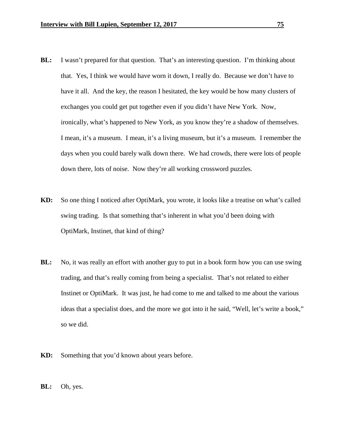- **BL:** I wasn't prepared for that question. That's an interesting question. I'm thinking about that. Yes, I think we would have worn it down, I really do. Because we don't have to have it all. And the key, the reason I hesitated, the key would be how many clusters of exchanges you could get put together even if you didn't have New York. Now, ironically, what's happened to New York, as you know they're a shadow of themselves. I mean, it's a museum. I mean, it's a living museum, but it's a museum. I remember the days when you could barely walk down there. We had crowds, there were lots of people down there, lots of noise. Now they're all working crossword puzzles.
- **KD:** So one thing I noticed after OptiMark, you wrote, it looks like a treatise on what's called swing trading. Is that something that's inherent in what you'd been doing with OptiMark, Instinet, that kind of thing?
- **BL:** No, it was really an effort with another guy to put in a book form how you can use swing trading, and that's really coming from being a specialist. That's not related to either Instinet or OptiMark. It was just, he had come to me and talked to me about the various ideas that a specialist does, and the more we got into it he said, "Well, let's write a book," so we did.
- **KD:** Something that you'd known about years before.
- **BL:** Oh, yes.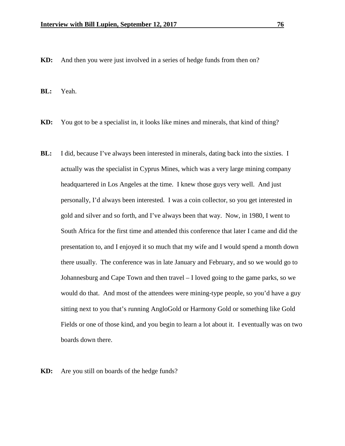**KD:** And then you were just involved in a series of hedge funds from then on?

**BL:** Yeah.

- **KD:** You got to be a specialist in, it looks like mines and minerals, that kind of thing?
- **BL:** I did, because I've always been interested in minerals, dating back into the sixties. I actually was the specialist in Cyprus Mines, which was a very large mining company headquartered in Los Angeles at the time. I knew those guys very well. And just personally, I'd always been interested. I was a coin collector, so you get interested in gold and silver and so forth, and I've always been that way. Now, in 1980, I went to South Africa for the first time and attended this conference that later I came and did the presentation to, and I enjoyed it so much that my wife and I would spend a month down there usually. The conference was in late January and February, and so we would go to Johannesburg and Cape Town and then travel – I loved going to the game parks, so we would do that. And most of the attendees were mining-type people, so you'd have a guy sitting next to you that's running AngloGold or Harmony Gold or something like Gold Fields or one of those kind, and you begin to learn a lot about it. I eventually was on two boards down there.

**KD:** Are you still on boards of the hedge funds?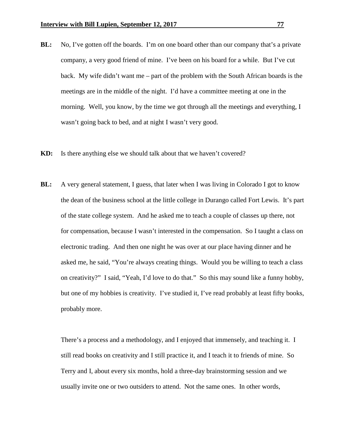- **BL:** No, I've gotten off the boards. I'm on one board other than our company that's a private company, a very good friend of mine. I've been on his board for a while. But I've cut back. My wife didn't want me – part of the problem with the South African boards is the meetings are in the middle of the night. I'd have a committee meeting at one in the morning. Well, you know, by the time we got through all the meetings and everything, I wasn't going back to bed, and at night I wasn't very good.
- **KD:** Is there anything else we should talk about that we haven't covered?
- **BL:** A very general statement, I guess, that later when I was living in Colorado I got to know the dean of the business school at the little college in Durango called Fort Lewis. It's part of the state college system. And he asked me to teach a couple of classes up there, not for compensation, because I wasn't interested in the compensation. So I taught a class on electronic trading. And then one night he was over at our place having dinner and he asked me, he said, "You're always creating things. Would you be willing to teach a class on creativity?" I said, "Yeah, I'd love to do that." So this may sound like a funny hobby, but one of my hobbies is creativity. I've studied it, I've read probably at least fifty books, probably more.

There's a process and a methodology, and I enjoyed that immensely, and teaching it. I still read books on creativity and I still practice it, and I teach it to friends of mine. So Terry and I, about every six months, hold a three-day brainstorming session and we usually invite one or two outsiders to attend. Not the same ones. In other words,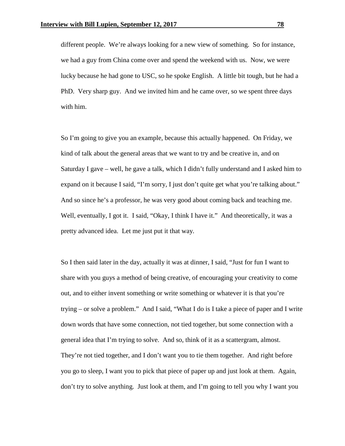different people. We're always looking for a new view of something. So for instance, we had a guy from China come over and spend the weekend with us. Now, we were lucky because he had gone to USC, so he spoke English. A little bit tough, but he had a PhD. Very sharp guy. And we invited him and he came over, so we spent three days with him.

So I'm going to give you an example, because this actually happened. On Friday, we kind of talk about the general areas that we want to try and be creative in, and on Saturday I gave – well, he gave a talk, which I didn't fully understand and I asked him to expand on it because I said, "I'm sorry, I just don't quite get what you're talking about." And so since he's a professor, he was very good about coming back and teaching me. Well, eventually, I got it. I said, "Okay, I think I have it." And theoretically, it was a pretty advanced idea. Let me just put it that way.

So I then said later in the day, actually it was at dinner, I said, "Just for fun I want to share with you guys a method of being creative, of encouraging your creativity to come out, and to either invent something or write something or whatever it is that you're trying – or solve a problem." And I said, "What I do is I take a piece of paper and I write down words that have some connection, not tied together, but some connection with a general idea that I'm trying to solve. And so, think of it as a scattergram, almost. They're not tied together, and I don't want you to tie them together. And right before you go to sleep, I want you to pick that piece of paper up and just look at them. Again, don't try to solve anything. Just look at them, and I'm going to tell you why I want you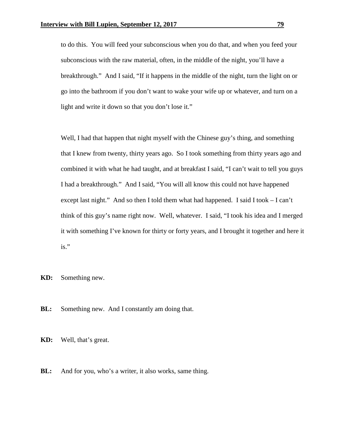to do this. You will feed your subconscious when you do that, and when you feed your subconscious with the raw material, often, in the middle of the night, you'll have a breakthrough." And I said, "If it happens in the middle of the night, turn the light on or go into the bathroom if you don't want to wake your wife up or whatever, and turn on a light and write it down so that you don't lose it."

Well, I had that happen that night myself with the Chinese guy's thing, and something that I knew from twenty, thirty years ago. So I took something from thirty years ago and combined it with what he had taught, and at breakfast I said, "I can't wait to tell you guys I had a breakthrough." And I said, "You will all know this could not have happened except last night." And so then I told them what had happened. I said I took – I can't think of this guy's name right now. Well, whatever. I said, "I took his idea and I merged it with something I've known for thirty or forty years, and I brought it together and here it is."

**KD:** Something new.

**BL:** Something new. And I constantly am doing that.

**KD:** Well, that's great.

**BL:** And for you, who's a writer, it also works, same thing.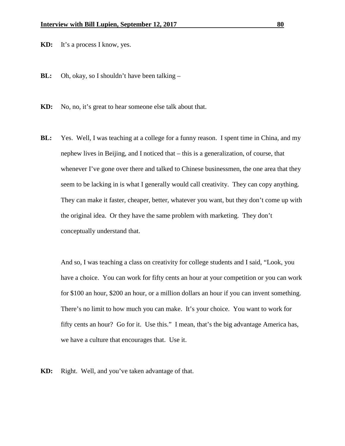**KD:** It's a process I know, yes.

- **BL:** Oh, okay, so I shouldn't have been talking –
- **KD:** No, no, it's great to hear someone else talk about that.
- **BL:** Yes. Well, I was teaching at a college for a funny reason. I spent time in China, and my nephew lives in Beijing, and I noticed that – this is a generalization, of course, that whenever I've gone over there and talked to Chinese businessmen, the one area that they seem to be lacking in is what I generally would call creativity. They can copy anything. They can make it faster, cheaper, better, whatever you want, but they don't come up with the original idea. Or they have the same problem with marketing. They don't conceptually understand that.

And so, I was teaching a class on creativity for college students and I said, "Look, you have a choice. You can work for fifty cents an hour at your competition or you can work for \$100 an hour, \$200 an hour, or a million dollars an hour if you can invent something. There's no limit to how much you can make. It's your choice. You want to work for fifty cents an hour? Go for it. Use this." I mean, that's the big advantage America has, we have a culture that encourages that. Use it.

**KD:** Right. Well, and you've taken advantage of that.